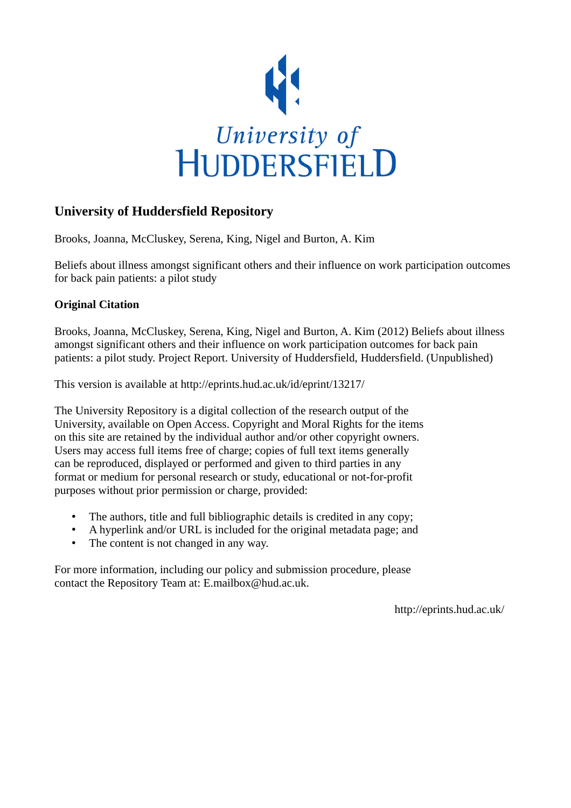

# **University of Huddersfield Repository**

Brooks, Joanna, McCluskey, Serena, King, Nigel and Burton, A. Kim

Beliefs about illness amongst significant others and their influence on work participation outcomes for back pain patients: a pilot study

## **Original Citation**

Brooks, Joanna, McCluskey, Serena, King, Nigel and Burton, A. Kim (2012) Beliefs about illness amongst significant others and their influence on work participation outcomes for back pain patients: a pilot study. Project Report. University of Huddersfield, Huddersfield. (Unpublished)

This version is available at http://eprints.hud.ac.uk/id/eprint/13217/

The University Repository is a digital collection of the research output of the University, available on Open Access. Copyright and Moral Rights for the items on this site are retained by the individual author and/or other copyright owners. Users may access full items free of charge; copies of full text items generally can be reproduced, displayed or performed and given to third parties in any format or medium for personal research or study, educational or not-for-profit purposes without prior permission or charge, provided:

- The authors, title and full bibliographic details is credited in any copy;
- A hyperlink and/or URL is included for the original metadata page; and
- The content is not changed in any way.

For more information, including our policy and submission procedure, please contact the Repository Team at: E.mailbox@hud.ac.uk.

http://eprints.hud.ac.uk/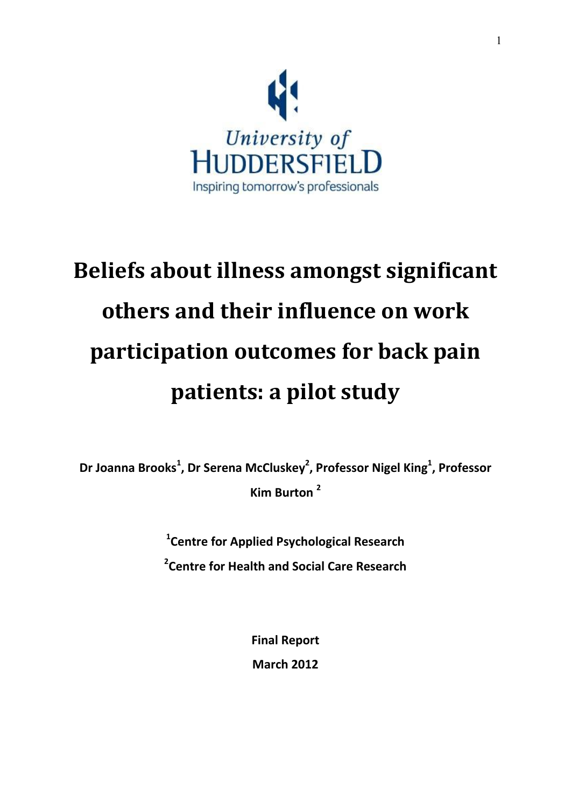

# **Beliefs about illness amongst significant others and their influence on work participation outcomes for back pain patients: a pilot study**

**Dr Joanna Brooks<sup>1</sup> , Dr Serena McCluskey<sup>2</sup> , Professor Nigel King<sup>1</sup> , Professor Kim Burton <sup>2</sup>**

> **1 Centre for Applied Psychological Research 2 Centre for Health and Social Care Research**

> > **Final Report March 2012**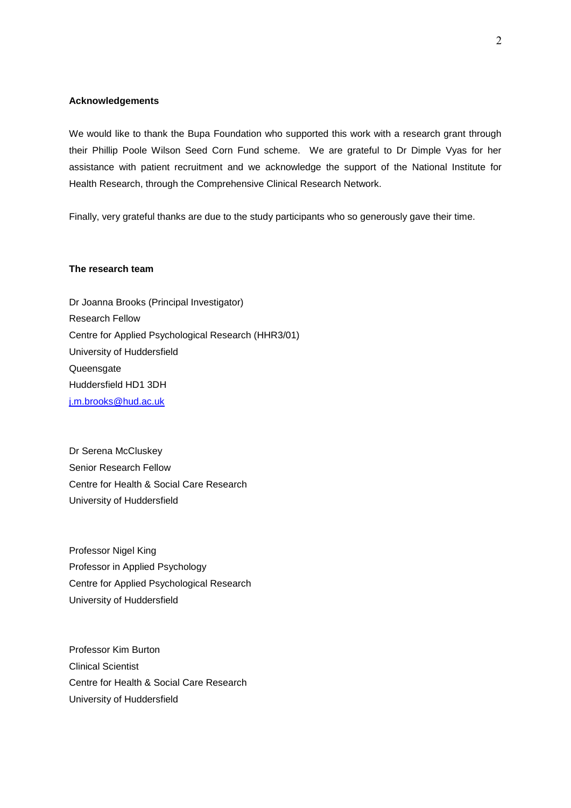## **Acknowledgements**

We would like to thank the Bupa Foundation who supported this work with a research grant through their Phillip Poole Wilson Seed Corn Fund scheme. We are grateful to Dr Dimple Vyas for her assistance with patient recruitment and we acknowledge the support of the National Institute for Health Research, through the Comprehensive Clinical Research Network.

Finally, very grateful thanks are due to the study participants who so generously gave their time.

## **The research team**

Dr Joanna Brooks (Principal Investigator) Research Fellow Centre for Applied Psychological Research (HHR3/01) University of Huddersfield **Queensgate** Huddersfield HD1 3DH [j.m.brooks@hud.ac.uk](mailto:j.m.brooks@hud.ac.uk)

Dr Serena McCluskey Senior Research Fellow Centre for Health & Social Care Research University of Huddersfield

Professor Nigel King Professor in Applied Psychology Centre for Applied Psychological Research University of Huddersfield

Professor Kim Burton Clinical Scientist Centre for Health & Social Care Research University of Huddersfield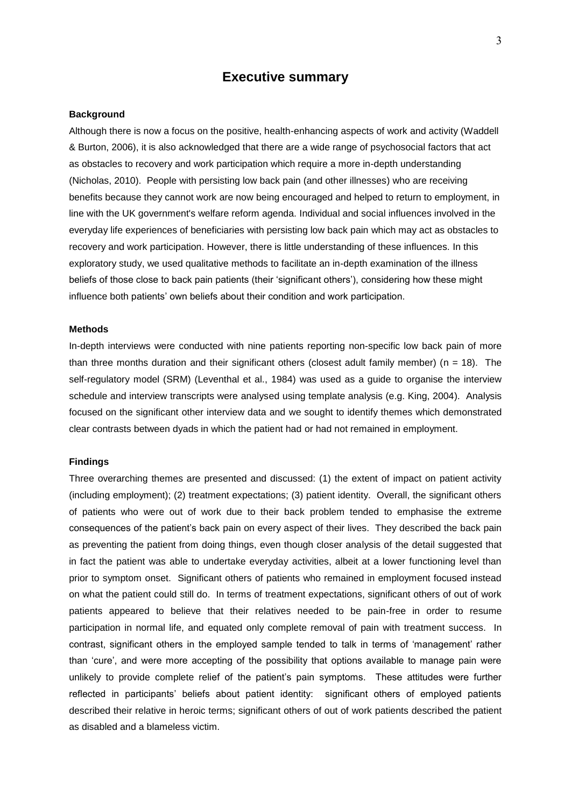## **Executive summary**

#### **Background**

Although there is now a focus on the positive, health-enhancing aspects of work and activity (Waddell & Burton, 2006), it is also acknowledged that there are a wide range of psychosocial factors that act as obstacles to recovery and work participation which require a more in-depth understanding (Nicholas, 2010). People with persisting low back pain (and other illnesses) who are receiving benefits because they cannot work are now being encouraged and helped to return to employment, in line with the UK government's welfare reform agenda. Individual and social influences involved in the everyday life experiences of beneficiaries with persisting low back pain which may act as obstacles to recovery and work participation. However, there is little understanding of these influences. In this exploratory study, we used qualitative methods to facilitate an in-depth examination of the illness beliefs of those close to back pain patients (their 'significant others'), considering how these might influence both patients' own beliefs about their condition and work participation.

## **Methods**

In-depth interviews were conducted with nine patients reporting non-specific low back pain of more than three months duration and their significant others (closest adult family member) ( $n = 18$ ). The self-regulatory model (SRM) (Leventhal et al., 1984) was used as a guide to organise the interview schedule and interview transcripts were analysed using template analysis (e.g. King, 2004). Analysis focused on the significant other interview data and we sought to identify themes which demonstrated clear contrasts between dyads in which the patient had or had not remained in employment.

## **Findings**

Three overarching themes are presented and discussed: (1) the extent of impact on patient activity (including employment); (2) treatment expectations; (3) patient identity. Overall, the significant others of patients who were out of work due to their back problem tended to emphasise the extreme consequences of the patient's back pain on every aspect of their lives. They described the back pain as preventing the patient from doing things, even though closer analysis of the detail suggested that in fact the patient was able to undertake everyday activities, albeit at a lower functioning level than prior to symptom onset. Significant others of patients who remained in employment focused instead on what the patient could still do. In terms of treatment expectations, significant others of out of work patients appeared to believe that their relatives needed to be pain-free in order to resume participation in normal life, and equated only complete removal of pain with treatment success. In contrast, significant others in the employed sample tended to talk in terms of 'management' rather than 'cure', and were more accepting of the possibility that options available to manage pain were unlikely to provide complete relief of the patient's pain symptoms. These attitudes were further reflected in participants' beliefs about patient identity: significant others of employed patients described their relative in heroic terms; significant others of out of work patients described the patient as disabled and a blameless victim.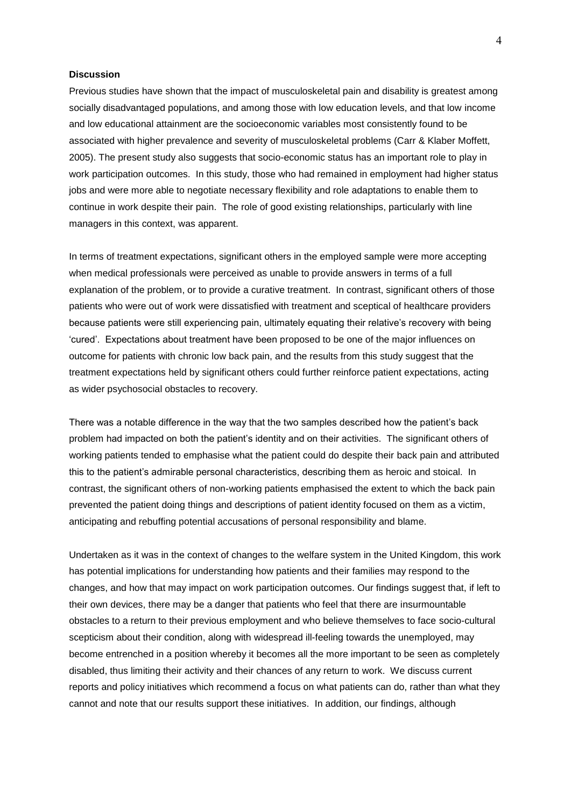## **Discussion**

Previous studies have shown that the impact of musculoskeletal pain and disability is greatest among socially disadvantaged populations, and among those with low education levels, and that low income and low educational attainment are the socioeconomic variables most consistently found to be associated with higher prevalence and severity of musculoskeletal problems (Carr & Klaber Moffett, 2005). The present study also suggests that socio-economic status has an important role to play in work participation outcomes. In this study, those who had remained in employment had higher status jobs and were more able to negotiate necessary flexibility and role adaptations to enable them to continue in work despite their pain. The role of good existing relationships, particularly with line managers in this context, was apparent.

In terms of treatment expectations, significant others in the employed sample were more accepting when medical professionals were perceived as unable to provide answers in terms of a full explanation of the problem, or to provide a curative treatment. In contrast, significant others of those patients who were out of work were dissatisfied with treatment and sceptical of healthcare providers because patients were still experiencing pain, ultimately equating their relative's recovery with being 'cured'. Expectations about treatment have been proposed to be one of the major influences on outcome for patients with chronic low back pain, and the results from this study suggest that the treatment expectations held by significant others could further reinforce patient expectations, acting as wider psychosocial obstacles to recovery.

There was a notable difference in the way that the two samples described how the patient's back problem had impacted on both the patient's identity and on their activities. The significant others of working patients tended to emphasise what the patient could do despite their back pain and attributed this to the patient's admirable personal characteristics, describing them as heroic and stoical. In contrast, the significant others of non-working patients emphasised the extent to which the back pain prevented the patient doing things and descriptions of patient identity focused on them as a victim, anticipating and rebuffing potential accusations of personal responsibility and blame.

Undertaken as it was in the context of changes to the welfare system in the United Kingdom, this work has potential implications for understanding how patients and their families may respond to the changes, and how that may impact on work participation outcomes. Our findings suggest that, if left to their own devices, there may be a danger that patients who feel that there are insurmountable obstacles to a return to their previous employment and who believe themselves to face socio-cultural scepticism about their condition, along with widespread ill-feeling towards the unemployed, may become entrenched in a position whereby it becomes all the more important to be seen as completely disabled, thus limiting their activity and their chances of any return to work. We discuss current reports and policy initiatives which recommend a focus on what patients can do, rather than what they cannot and note that our results support these initiatives. In addition, our findings, although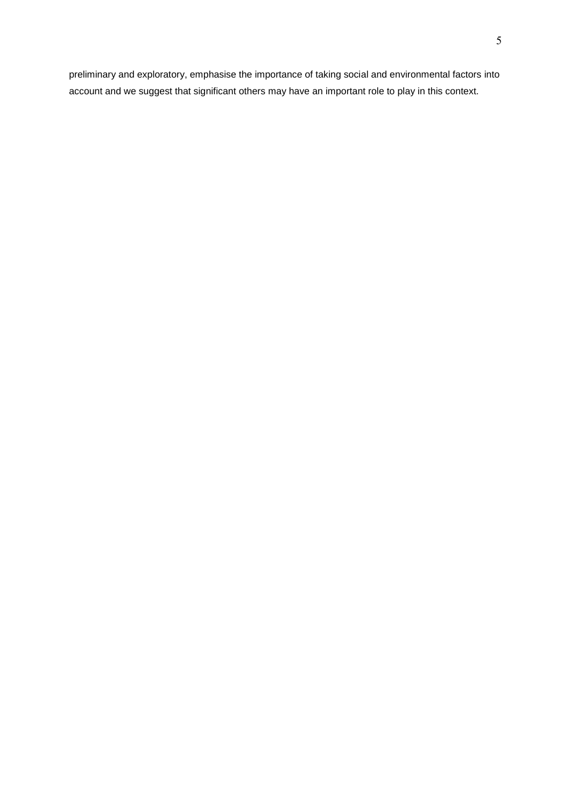preliminary and exploratory, emphasise the importance of taking social and environmental factors into account and we suggest that significant others may have an important role to play in this context.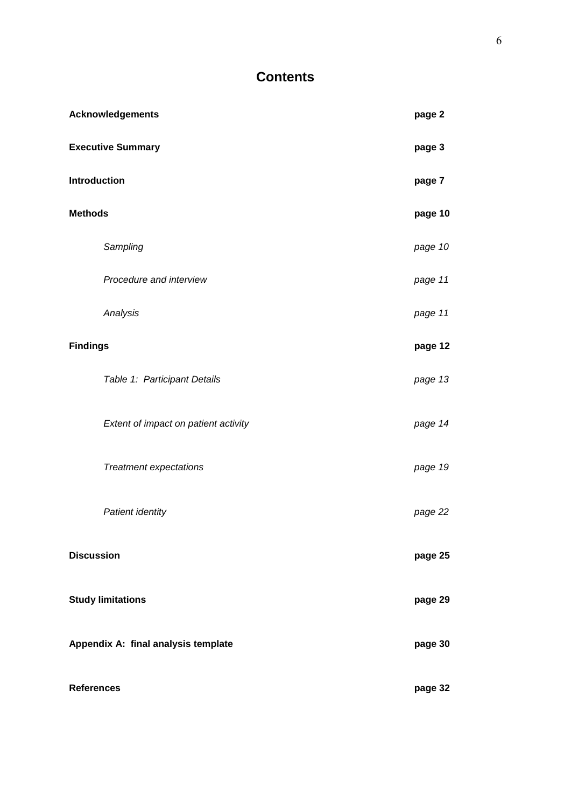# **Contents**

| <b>Acknowledgements</b>              |         |  |  |  |
|--------------------------------------|---------|--|--|--|
| <b>Executive Summary</b>             |         |  |  |  |
| <b>Introduction</b>                  |         |  |  |  |
| <b>Methods</b>                       |         |  |  |  |
| Sampling                             | page 10 |  |  |  |
| Procedure and interview              | page 11 |  |  |  |
| Analysis                             | page 11 |  |  |  |
| <b>Findings</b>                      |         |  |  |  |
| Table 1: Participant Details         | page 13 |  |  |  |
| Extent of impact on patient activity | page 14 |  |  |  |
| <b>Treatment expectations</b>        | page 19 |  |  |  |
| Patient identity                     | page 22 |  |  |  |
| <b>Discussion</b>                    | page 25 |  |  |  |
| <b>Study limitations</b>             |         |  |  |  |
| Appendix A: final analysis template  |         |  |  |  |
| <b>References</b>                    | page 32 |  |  |  |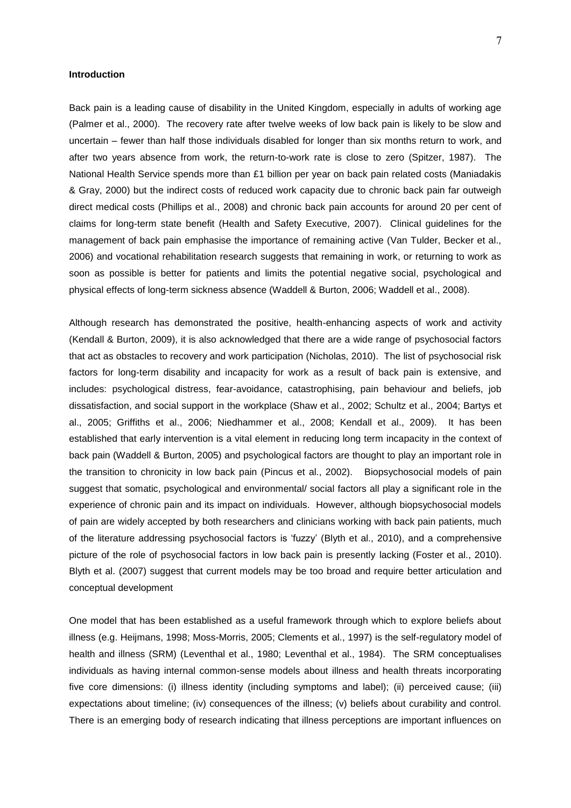## **Introduction**

Back pain is a leading cause of disability in the United Kingdom, especially in adults of working age (Palmer et al., 2000). The recovery rate after twelve weeks of low back pain is likely to be slow and uncertain – fewer than half those individuals disabled for longer than six months return to work, and after two years absence from work, the return-to-work rate is close to zero (Spitzer, 1987). The National Health Service spends more than £1 billion per year on back pain related costs (Maniadakis & Gray, 2000) but the indirect costs of reduced work capacity due to chronic back pain far outweigh direct medical costs (Phillips et al., 2008) and chronic back pain accounts for around 20 per cent of claims for long-term state benefit (Health and Safety Executive, 2007). Clinical guidelines for the management of back pain emphasise the importance of remaining active (Van Tulder, Becker et al., 2006) and vocational rehabilitation research suggests that remaining in work, or returning to work as soon as possible is better for patients and limits the potential negative social, psychological and physical effects of long-term sickness absence (Waddell & Burton, 2006; Waddell et al., 2008).

Although research has demonstrated the positive, health-enhancing aspects of work and activity (Kendall & Burton, 2009), it is also acknowledged that there are a wide range of psychosocial factors that act as obstacles to recovery and work participation (Nicholas, 2010). The list of psychosocial risk factors for long-term disability and incapacity for work as a result of back pain is extensive, and includes: psychological distress, fear-avoidance, catastrophising, pain behaviour and beliefs, job dissatisfaction, and social support in the workplace (Shaw et al., 2002; Schultz et al., 2004; Bartys et al., 2005; Griffiths et al., 2006; Niedhammer et al., 2008; Kendall et al., 2009). It has been established that early intervention is a vital element in reducing long term incapacity in the context of back pain (Waddell & Burton, 2005) and psychological factors are thought to play an important role in the transition to chronicity in low back pain (Pincus et al., 2002). Biopsychosocial models of pain suggest that somatic, psychological and environmental/ social factors all play a significant role in the experience of chronic pain and its impact on individuals. However, although biopsychosocial models of pain are widely accepted by both researchers and clinicians working with back pain patients, much of the literature addressing psychosocial factors is 'fuzzy' (Blyth et al., 2010), and a comprehensive picture of the role of psychosocial factors in low back pain is presently lacking (Foster et al., 2010). Blyth et al. (2007) suggest that current models may be too broad and require better articulation and conceptual development

One model that has been established as a useful framework through which to explore beliefs about illness (e.g. Heijmans, 1998; Moss-Morris, 2005; Clements et al., 1997) is the self-regulatory model of health and illness (SRM) (Leventhal et al., 1980; Leventhal et al., 1984). The SRM conceptualises individuals as having internal common-sense models about illness and health threats incorporating five core dimensions: (i) illness identity (including symptoms and label); (ii) perceived cause; (iii) expectations about timeline; (iv) consequences of the illness; (v) beliefs about curability and control. There is an emerging body of research indicating that illness perceptions are important influences on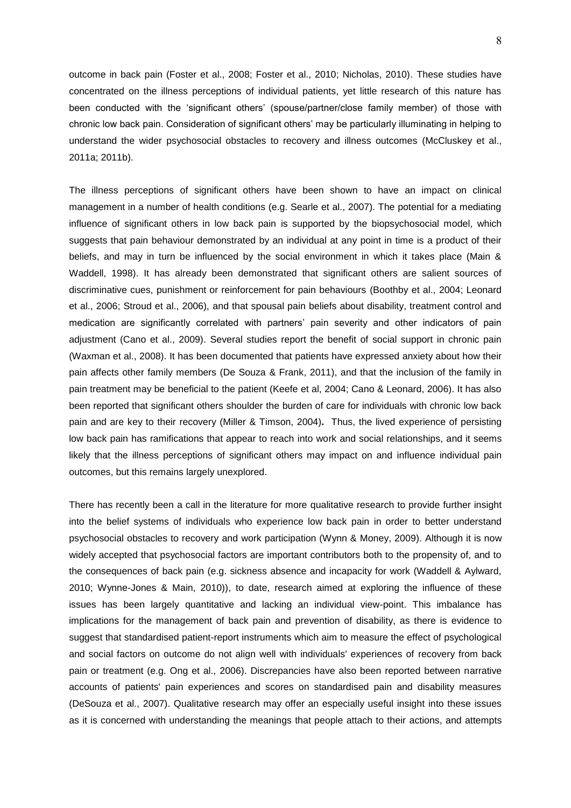outcome in back pain (Foster et al., 2008; Foster et al., 2010; Nicholas, 2010). These studies have concentrated on the illness perceptions of individual patients, yet little research of this nature has been conducted with the 'significant others' (spouse/partner/close family member) of those with chronic low back pain. Consideration of significant others' may be particularly illuminating in helping to understand the wider psychosocial obstacles to recovery and illness outcomes (McCluskey et al., 2011a; 2011b).

The illness perceptions of significant others have been shown to have an impact on clinical management in a number of health conditions (e.g. Searle et al., 2007). The potential for a mediating influence of significant others in low back pain is supported by the biopsychosocial model, which suggests that pain behaviour demonstrated by an individual at any point in time is a product of their beliefs, and may in turn be influenced by the social environment in which it takes place (Main & Waddell, 1998). It has already been demonstrated that significant others are salient sources of discriminative cues, punishment or reinforcement for pain behaviours (Boothby et al., 2004; Leonard et al., 2006; Stroud et al., 2006), and that spousal pain beliefs about disability, treatment control and medication are significantly correlated with partners' pain severity and other indicators of pain adjustment (Cano et al., 2009). Several studies report the benefit of social support in chronic pain (Waxman et al., 2008). It has been documented that patients have expressed anxiety about how their pain affects other family members (De Souza & Frank, 2011), and that the inclusion of the family in pain treatment may be beneficial to the patient (Keefe et al, 2004; Cano & Leonard, 2006). It has also been reported that significant others shoulder the burden of care for individuals with chronic low back pain and are key to their recovery (Miller & Timson, 2004)**.** Thus, the lived experience of persisting low back pain has ramifications that appear to reach into work and social relationships, and it seems likely that the illness perceptions of significant others may impact on and influence individual pain outcomes, but this remains largely unexplored.

There has recently been a call in the literature for more qualitative research to provide further insight into the belief systems of individuals who experience low back pain in order to better understand psychosocial obstacles to recovery and work participation (Wynn & Money, 2009). Although it is now widely accepted that psychosocial factors are important contributors both to the propensity of, and to the consequences of back pain (e.g. sickness absence and incapacity for work (Waddell & Aylward, 2010; Wynne-Jones & Main, 2010)), to date, research aimed at exploring the influence of these issues has been largely quantitative and lacking an individual view-point. This imbalance has implications for the management of back pain and prevention of disability, as there is evidence to suggest that standardised patient-report instruments which aim to measure the effect of psychological and social factors on outcome do not align well with individuals' experiences of recovery from back pain or treatment (e.g. Ong et al., 2006). Discrepancies have also been reported between narrative accounts of patients' pain experiences and scores on standardised pain and disability measures (DeSouza et al., 2007). Qualitative research may offer an especially useful insight into these issues as it is concerned with understanding the meanings that people attach to their actions, and attempts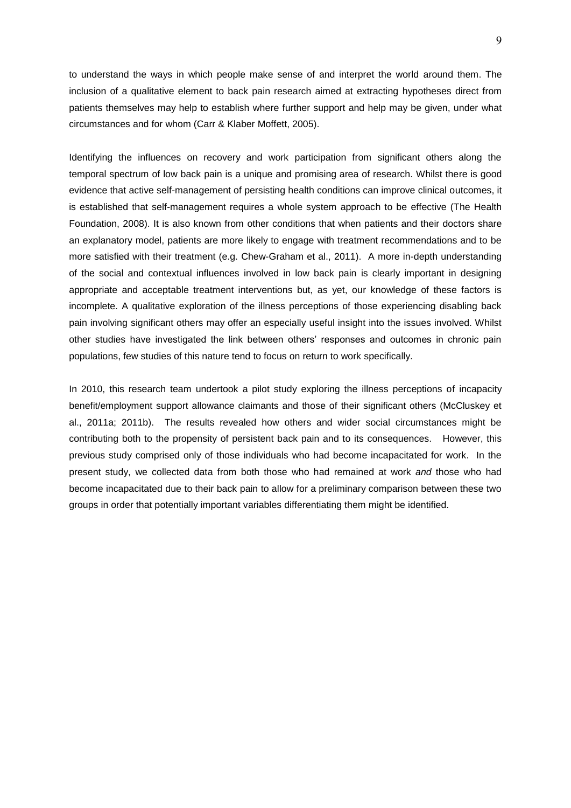to understand the ways in which people make sense of and interpret the world around them. The inclusion of a qualitative element to back pain research aimed at extracting hypotheses direct from patients themselves may help to establish where further support and help may be given, under what circumstances and for whom (Carr & Klaber Moffett, 2005).

Identifying the influences on recovery and work participation from significant others along the temporal spectrum of low back pain is a unique and promising area of research. Whilst there is good evidence that active self-management of persisting health conditions can improve clinical outcomes, it is established that self-management requires a whole system approach to be effective (The Health Foundation, 2008). It is also known from other conditions that when patients and their doctors share an explanatory model, patients are more likely to engage with treatment recommendations and to be more satisfied with their treatment (e.g. Chew-Graham et al., 2011). A more in-depth understanding of the social and contextual influences involved in low back pain is clearly important in designing appropriate and acceptable treatment interventions but, as yet, our knowledge of these factors is incomplete. A qualitative exploration of the illness perceptions of those experiencing disabling back pain involving significant others may offer an especially useful insight into the issues involved. Whilst other studies have investigated the link between others' responses and outcomes in chronic pain populations, few studies of this nature tend to focus on return to work specifically.

In 2010, this research team undertook a pilot study exploring the illness perceptions of incapacity benefit/employment support allowance claimants and those of their significant others (McCluskey et al., 2011a; 2011b). The results revealed how others and wider social circumstances might be contributing both to the propensity of persistent back pain and to its consequences. However, this previous study comprised only of those individuals who had become incapacitated for work. In the present study, we collected data from both those who had remained at work *and* those who had become incapacitated due to their back pain to allow for a preliminary comparison between these two groups in order that potentially important variables differentiating them might be identified.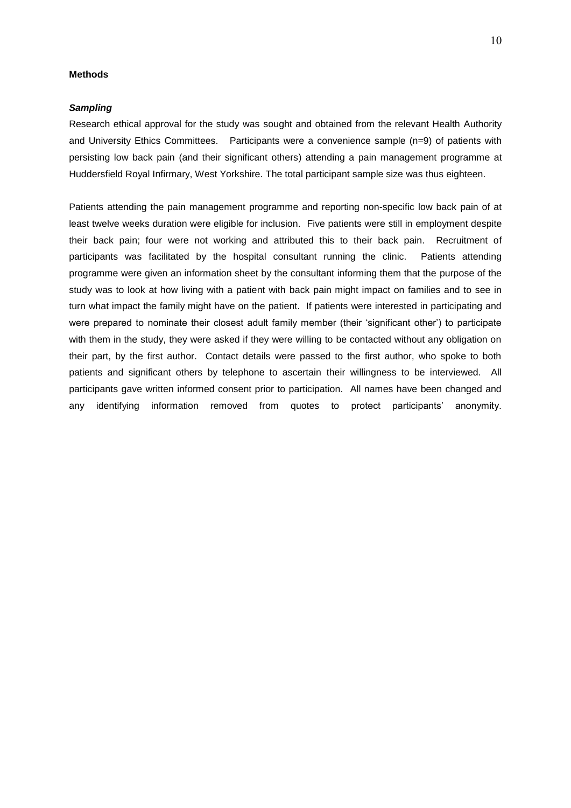## **Methods**

#### *Sampling*

Research ethical approval for the study was sought and obtained from the relevant Health Authority and University Ethics Committees. Participants were a convenience sample (n=9) of patients with persisting low back pain (and their significant others) attending a pain management programme at Huddersfield Royal Infirmary, West Yorkshire. The total participant sample size was thus eighteen.

Patients attending the pain management programme and reporting non-specific low back pain of at least twelve weeks duration were eligible for inclusion. Five patients were still in employment despite their back pain; four were not working and attributed this to their back pain. Recruitment of participants was facilitated by the hospital consultant running the clinic. Patients attending programme were given an information sheet by the consultant informing them that the purpose of the study was to look at how living with a patient with back pain might impact on families and to see in turn what impact the family might have on the patient. If patients were interested in participating and were prepared to nominate their closest adult family member (their 'significant other') to participate with them in the study, they were asked if they were willing to be contacted without any obligation on their part, by the first author. Contact details were passed to the first author, who spoke to both patients and significant others by telephone to ascertain their willingness to be interviewed. All participants gave written informed consent prior to participation. All names have been changed and any identifying information removed from quotes to protect participants' anonymity.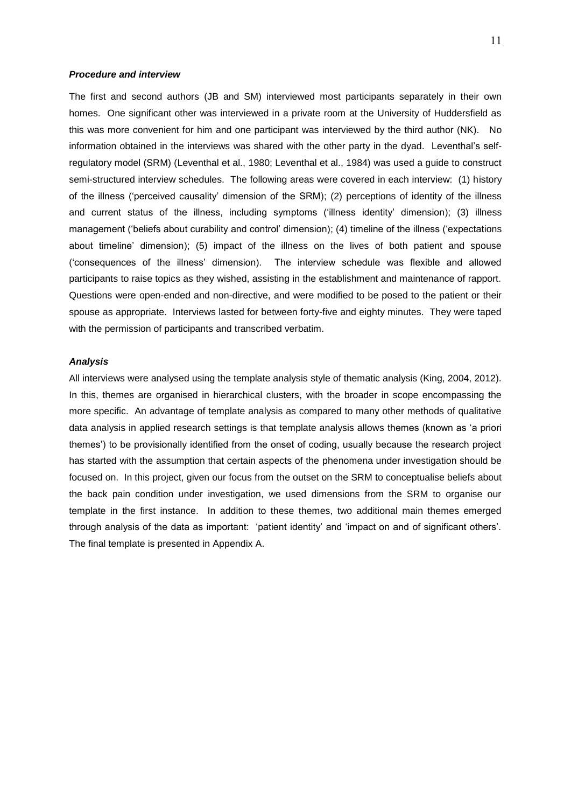## *Procedure and interview*

The first and second authors (JB and SM) interviewed most participants separately in their own homes. One significant other was interviewed in a private room at the University of Huddersfield as this was more convenient for him and one participant was interviewed by the third author (NK). No information obtained in the interviews was shared with the other party in the dyad. Leventhal's selfregulatory model (SRM) (Leventhal et al., 1980; Leventhal et al., 1984) was used a guide to construct semi-structured interview schedules. The following areas were covered in each interview: (1) history of the illness ('perceived causality' dimension of the SRM); (2) perceptions of identity of the illness and current status of the illness, including symptoms ('illness identity' dimension); (3) illness management ('beliefs about curability and control' dimension); (4) timeline of the illness ('expectations about timeline' dimension); (5) impact of the illness on the lives of both patient and spouse ('consequences of the illness' dimension). The interview schedule was flexible and allowed participants to raise topics as they wished, assisting in the establishment and maintenance of rapport. Questions were open-ended and non-directive, and were modified to be posed to the patient or their spouse as appropriate. Interviews lasted for between forty-five and eighty minutes. They were taped with the permission of participants and transcribed verbatim.

## *Analysis*

All interviews were analysed using the template analysis style of thematic analysis (King, 2004, 2012). In this, themes are organised in hierarchical clusters, with the broader in scope encompassing the more specific. An advantage of template analysis as compared to many other methods of qualitative data analysis in applied research settings is that template analysis allows themes (known as 'a priori themes') to be provisionally identified from the onset of coding, usually because the research project has started with the assumption that certain aspects of the phenomena under investigation should be focused on. In this project, given our focus from the outset on the SRM to conceptualise beliefs about the back pain condition under investigation, we used dimensions from the SRM to organise our template in the first instance. In addition to these themes, two additional main themes emerged through analysis of the data as important: 'patient identity' and 'impact on and of significant others'. The final template is presented in Appendix A.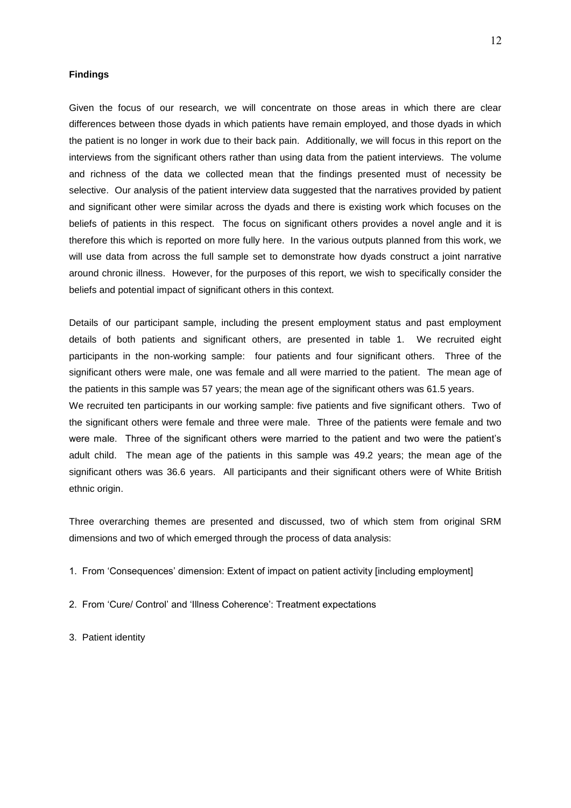## **Findings**

Given the focus of our research, we will concentrate on those areas in which there are clear differences between those dyads in which patients have remain employed, and those dyads in which the patient is no longer in work due to their back pain. Additionally, we will focus in this report on the interviews from the significant others rather than using data from the patient interviews. The volume and richness of the data we collected mean that the findings presented must of necessity be selective. Our analysis of the patient interview data suggested that the narratives provided by patient and significant other were similar across the dyads and there is existing work which focuses on the beliefs of patients in this respect. The focus on significant others provides a novel angle and it is therefore this which is reported on more fully here. In the various outputs planned from this work, we will use data from across the full sample set to demonstrate how dyads construct a joint narrative around chronic illness. However, for the purposes of this report, we wish to specifically consider the beliefs and potential impact of significant others in this context.

Details of our participant sample, including the present employment status and past employment details of both patients and significant others, are presented in table 1. We recruited eight participants in the non-working sample: four patients and four significant others. Three of the significant others were male, one was female and all were married to the patient. The mean age of the patients in this sample was 57 years; the mean age of the significant others was 61.5 years. We recruited ten participants in our working sample: five patients and five significant others. Two of

the significant others were female and three were male. Three of the patients were female and two were male. Three of the significant others were married to the patient and two were the patient's adult child. The mean age of the patients in this sample was 49.2 years; the mean age of the significant others was 36.6 years. All participants and their significant others were of White British ethnic origin.

Three overarching themes are presented and discussed, two of which stem from original SRM dimensions and two of which emerged through the process of data analysis:

- 1. From 'Consequences' dimension: Extent of impact on patient activity [including employment]
- 2. From 'Cure/ Control' and 'Illness Coherence': Treatment expectations
- 3. Patient identity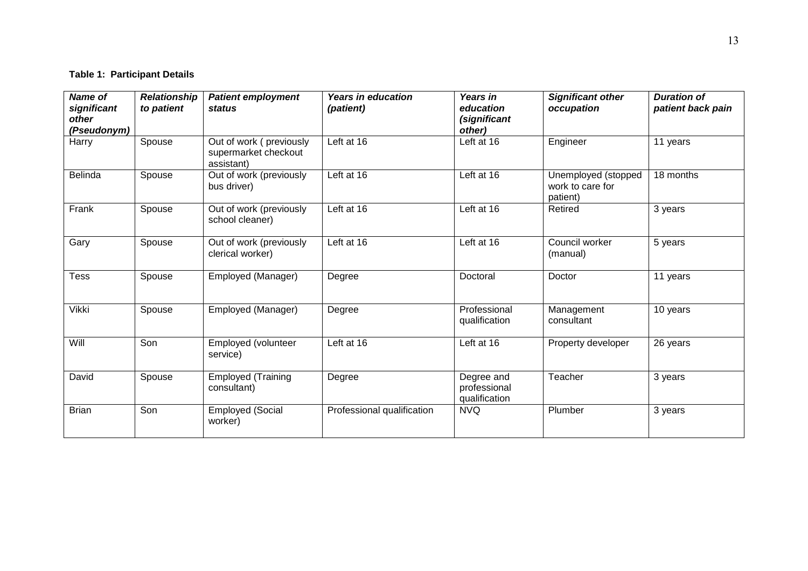## **Table 1: Participant Details**

| <b>Name of</b><br>significant<br>other<br>(Pseudonym) | <b>Relationship</b><br>to patient | <b>Patient employment</b><br><b>status</b>                    | <b>Years in education</b><br>(patient) | Years in<br>education<br>(significant<br>other) | <b>Significant other</b><br>occupation              | <b>Duration of</b><br>patient back pain |
|-------------------------------------------------------|-----------------------------------|---------------------------------------------------------------|----------------------------------------|-------------------------------------------------|-----------------------------------------------------|-----------------------------------------|
| Harry                                                 | Spouse                            | Out of work (previously<br>supermarket checkout<br>assistant) | Left at 16                             | Left at 16                                      | Engineer                                            | 11 years                                |
| <b>Belinda</b>                                        | Spouse                            | Out of work (previously<br>bus driver)                        | Left at 16                             | Left at 16                                      | Unemployed (stopped<br>work to care for<br>patient) | 18 months                               |
| Frank                                                 | Spouse                            | Out of work (previously<br>school cleaner)                    | Left at 16                             | Left at 16                                      | Retired                                             | 3 years                                 |
| Gary                                                  | Spouse                            | Out of work (previously<br>clerical worker)                   | Left at 16                             | Left at 16                                      | Council worker<br>(manual)                          | 5 years                                 |
| Tess                                                  | Spouse                            | Employed (Manager)                                            | Degree                                 | Doctoral                                        | Doctor                                              | 11 years                                |
| Vikki                                                 | Spouse                            | Employed (Manager)                                            | Degree                                 | Professional<br>qualification                   | Management<br>consultant                            | 10 years                                |
| Will                                                  | Son                               | Employed (volunteer<br>service)                               | Left at 16                             | Left at 16                                      | Property developer                                  | 26 years                                |
| David                                                 | Spouse                            | <b>Employed (Training</b><br>consultant)                      | Degree                                 | Degree and<br>professional<br>qualification     | Teacher                                             | 3 years                                 |
| <b>Brian</b>                                          | Son                               | <b>Employed (Social</b><br>worker)                            | Professional qualification             | <b>NVQ</b>                                      | Plumber                                             | 3 years                                 |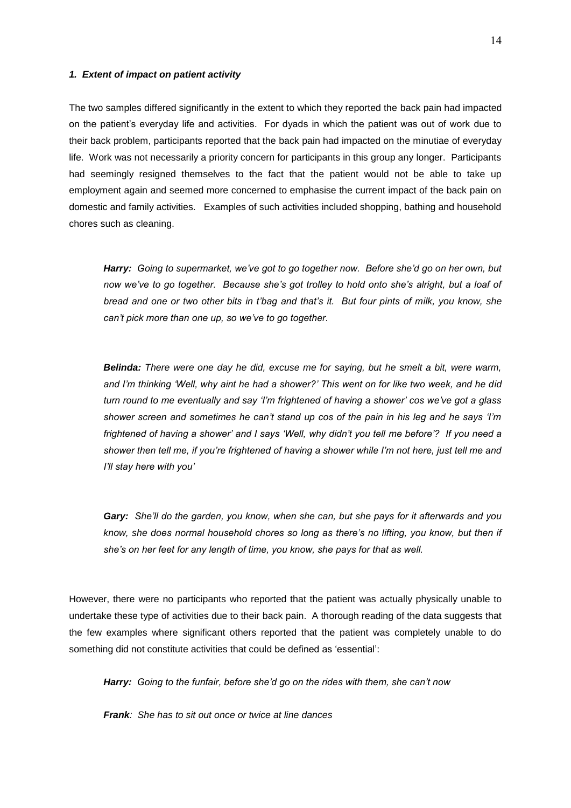#### *1. Extent of impact on patient activity*

The two samples differed significantly in the extent to which they reported the back pain had impacted on the patient's everyday life and activities. For dyads in which the patient was out of work due to their back problem, participants reported that the back pain had impacted on the minutiae of everyday life. Work was not necessarily a priority concern for participants in this group any longer. Participants had seemingly resigned themselves to the fact that the patient would not be able to take up employment again and seemed more concerned to emphasise the current impact of the back pain on domestic and family activities. Examples of such activities included shopping, bathing and household chores such as cleaning.

*Harry: Going to supermarket, we've got to go together now. Before she'd go on her own, but now we've to go together. Because she's got trolley to hold onto she's alright, but a loaf of bread and one or two other bits in t'bag and that's it. But four pints of milk, you know, she can't pick more than one up, so we've to go together.*

*Belinda: There were one day he did, excuse me for saying, but he smelt a bit, were warm, and I'm thinking 'Well, why aint he had a shower?' This went on for like two week, and he did turn round to me eventually and say 'I'm frightened of having a shower' cos we've got a glass shower screen and sometimes he can't stand up cos of the pain in his leg and he says 'I'm frightened of having a shower' and I says 'Well, why didn't you tell me before'? If you need a shower then tell me, if you're frightened of having a shower while I'm not here, just tell me and I'll stay here with you'*

*Gary: She'll do the garden, you know, when she can, but she pays for it afterwards and you know, she does normal household chores so long as there's no lifting, you know, but then if she's on her feet for any length of time, you know, she pays for that as well.*

However, there were no participants who reported that the patient was actually physically unable to undertake these type of activities due to their back pain. A thorough reading of the data suggests that the few examples where significant others reported that the patient was completely unable to do something did not constitute activities that could be defined as 'essential':

*Harry: Going to the funfair, before she'd go on the rides with them, she can't now*

*Frank: She has to sit out once or twice at line dances*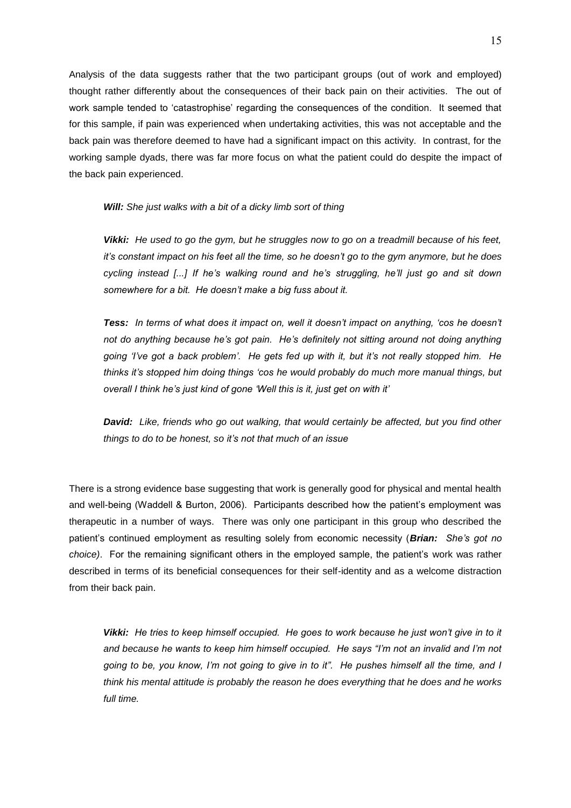Analysis of the data suggests rather that the two participant groups (out of work and employed) thought rather differently about the consequences of their back pain on their activities. The out of work sample tended to 'catastrophise' regarding the consequences of the condition. It seemed that for this sample, if pain was experienced when undertaking activities, this was not acceptable and the back pain was therefore deemed to have had a significant impact on this activity. In contrast, for the working sample dyads, there was far more focus on what the patient could do despite the impact of the back pain experienced.

*Will: She just walks with a bit of a dicky limb sort of thing*

*Vikki: He used to go the gym, but he struggles now to go on a treadmill because of his feet, it's constant impact on his feet all the time, so he doesn't go to the gym anymore, but he does cycling instead [...] If he's walking round and he's struggling, he'll just go and sit down somewhere for a bit. He doesn't make a big fuss about it.*

*Tess: In terms of what does it impact on, well it doesn't impact on anything, 'cos he doesn't not do anything because he's got pain. He's definitely not sitting around not doing anything going 'I've got a back problem'. He gets fed up with it, but it's not really stopped him. He thinks it's stopped him doing things 'cos he would probably do much more manual things, but overall I think he's just kind of gone 'Well this is it, just get on with it'*

*David:**Like, friends who go out walking, that would certainly be affected, but you find other things to do to be honest, so it's not that much of an issue*

There is a strong evidence base suggesting that work is generally good for physical and mental health and well-being (Waddell & Burton, 2006). Participants described how the patient's employment was therapeutic in a number of ways. There was only one participant in this group who described the patient's continued employment as resulting solely from economic necessity (*Brian: She's got no choice)*. For the remaining significant others in the employed sample, the patient's work was rather described in terms of its beneficial consequences for their self-identity and as a welcome distraction from their back pain.

 *Vikki: He tries to keep himself occupied. He goes to work because he just won't give in to it and because he wants to keep him himself occupied. He says "I'm not an invalid and I'm not going to be, you know, I'm not going to give in to it". He pushes himself all the time, and I think his mental attitude is probably the reason he does everything that he does and he works full time.*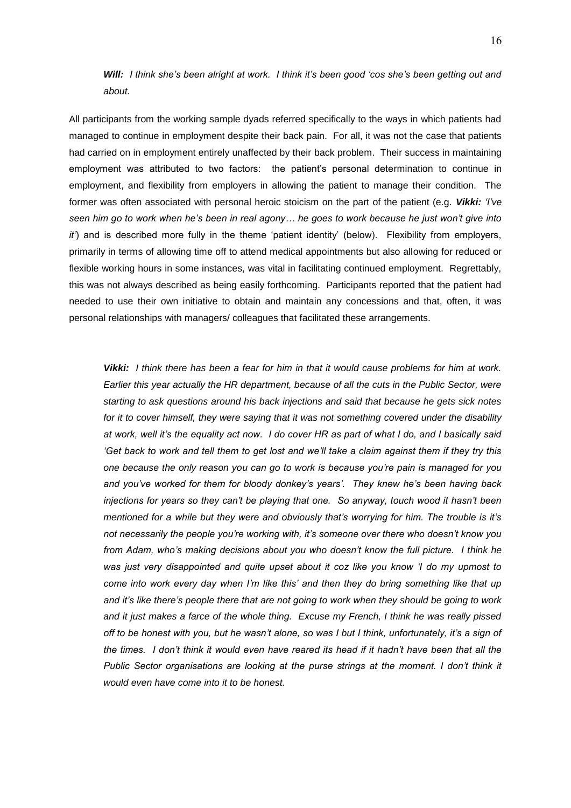## *Will: I think she's been alright at work. I think it's been good 'cos she's been getting out and about.*

All participants from the working sample dyads referred specifically to the ways in which patients had managed to continue in employment despite their back pain. For all, it was not the case that patients had carried on in employment entirely unaffected by their back problem. Their success in maintaining employment was attributed to two factors: the patient's personal determination to continue in employment, and flexibility from employers in allowing the patient to manage their condition. The former was often associated with personal heroic stoicism on the part of the patient (e.g. *Vikki: 'I've seen him go to work when he's been in real agony… he goes to work because he just won't give into it'*) and is described more fully in the theme 'patient identity' (below). Flexibility from employers, primarily in terms of allowing time off to attend medical appointments but also allowing for reduced or flexible working hours in some instances, was vital in facilitating continued employment. Regrettably, this was not always described as being easily forthcoming. Participants reported that the patient had needed to use their own initiative to obtain and maintain any concessions and that, often, it was personal relationships with managers/ colleagues that facilitated these arrangements.

*Vikki: I think there has been a fear for him in that it would cause problems for him at work. Earlier this year actually the HR department, because of all the cuts in the Public Sector, were starting to ask questions around his back injections and said that because he gets sick notes for it to cover himself, they were saying that it was not something covered under the disability at work, well it's the equality act now. I do cover HR as part of what I do, and I basically said 'Get back to work and tell them to get lost and we'll take a claim against them if they try this one because the only reason you can go to work is because you're pain is managed for you and you've worked for them for bloody donkey's years'. They knew he's been having back injections for years so they can't be playing that one. So anyway, touch wood it hasn't been mentioned for a while but they were and obviously that's worrying for him. The trouble is it's not necessarily the people you're working with, it's someone over there who doesn't know you from Adam, who's making decisions about you who doesn't know the full picture. I think he was just very disappointed and quite upset about it coz like you know 'I do my upmost to come into work every day when I'm like this' and then they do bring something like that up and it's like there's people there that are not going to work when they should be going to work and it just makes a farce of the whole thing. Excuse my French, I think he was really pissed off to be honest with you, but he wasn't alone, so was I but I think, unfortunately, it's a sign of the times. I don't think it would even have reared its head if it hadn't have been that all the Public Sector organisations are looking at the purse strings at the moment. I don't think it would even have come into it to be honest.*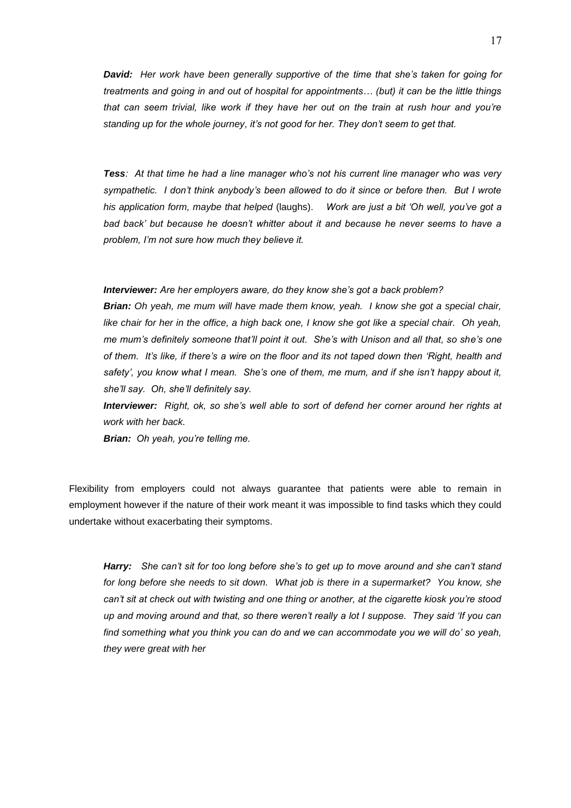*David: Her work have been generally supportive of the time that she's taken for going for treatments and going in and out of hospital for appointments… (but) it can be the little things that can seem trivial, like work if they have her out on the train at rush hour and you're standing up for the whole journey, it's not good for her. They don't seem to get that.*

*Tess: At that time he had a line manager who's not his current line manager who was very sympathetic. I don't think anybody's been allowed to do it since or before then. But I wrote his application form, maybe that helped* (laughs). *Work are just a bit 'Oh well, you've got a bad back' but because he doesn't whitter about it and because he never seems to have a problem, I'm not sure how much they believe it.*

*Interviewer: Are her employers aware, do they know she's got a back problem?*

*Brian: Oh yeah, me mum will have made them know, yeah. I know she got a special chair, like chair for her in the office, a high back one, I know she got like a special chair. Oh yeah, me mum's definitely someone that'll point it out. She's with Unison and all that, so she's one of them. It's like, if there's a wire on the floor and its not taped down then 'Right, health and safety', you know what I mean. She's one of them, me mum, and if she isn't happy about it, she'll say. Oh, she'll definitely say.*

*Interviewer: Right, ok, so she's well able to sort of defend her corner around her rights at work with her back.*

*Brian: Oh yeah, you're telling me.*

Flexibility from employers could not always guarantee that patients were able to remain in employment however if the nature of their work meant it was impossible to find tasks which they could undertake without exacerbating their symptoms.

*Harry: She can't sit for too long before she's to get up to move around and she can't stand for long before she needs to sit down. What job is there in a supermarket? You know, she can't sit at check out with twisting and one thing or another, at the cigarette kiosk you're stood up and moving around and that, so there weren't really a lot I suppose. They said 'If you can find something what you think you can do and we can accommodate you we will do' so yeah, they were great with her*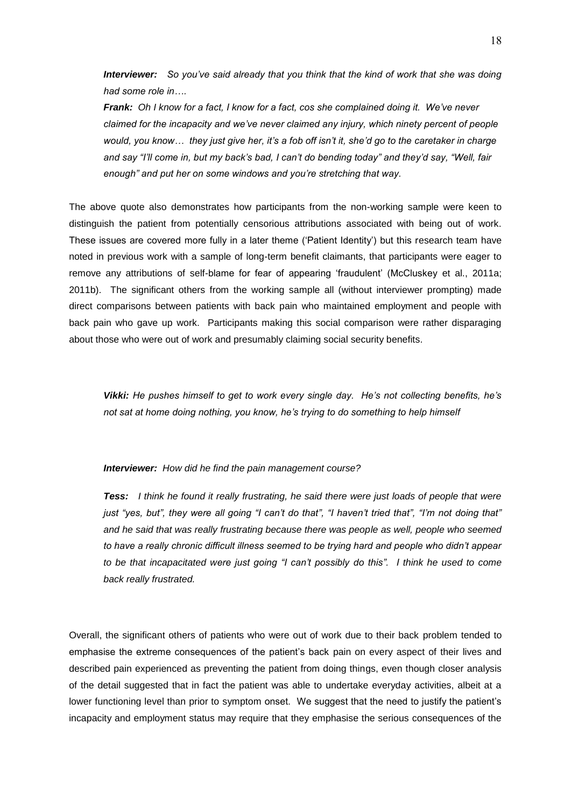*Interviewer: So you've said already that you think that the kind of work that she was doing had some role in….*

 *Frank: Oh I know for a fact, I know for a fact, cos she complained doing it. We've never claimed for the incapacity and we've never claimed any injury, which ninety percent of people would, you know… they just give her, it's a fob off isn't it, she'd go to the caretaker in charge and say "I'll come in, but my back's bad, I can't do bending today" and they'd say, "Well, fair enough" and put her on some windows and you're stretching that way.* 

The above quote also demonstrates how participants from the non-working sample were keen to distinguish the patient from potentially censorious attributions associated with being out of work. These issues are covered more fully in a later theme ('Patient Identity') but this research team have noted in previous work with a sample of long-term benefit claimants, that participants were eager to remove any attributions of self-blame for fear of appearing 'fraudulent' (McCluskey et al., 2011a; 2011b). The significant others from the working sample all (without interviewer prompting) made direct comparisons between patients with back pain who maintained employment and people with back pain who gave up work. Participants making this social comparison were rather disparaging about those who were out of work and presumably claiming social security benefits.

*Vikki: He pushes himself to get to work every single day. He's not collecting benefits, he's not sat at home doing nothing, you know, he's trying to do something to help himself* 

#### *Interviewer: How did he find the pain management course?*

*Tess: I think he found it really frustrating, he said there were just loads of people that were just "yes, but", they were all going "I can't do that", "I haven't tried that", "I'm not doing that" and he said that was really frustrating because there was people as well, people who seemed to have a really chronic difficult illness seemed to be trying hard and people who didn't appear to be that incapacitated were just going "I can't possibly do this". I think he used to come back really frustrated.*

Overall, the significant others of patients who were out of work due to their back problem tended to emphasise the extreme consequences of the patient's back pain on every aspect of their lives and described pain experienced as preventing the patient from doing things, even though closer analysis of the detail suggested that in fact the patient was able to undertake everyday activities, albeit at a lower functioning level than prior to symptom onset. We suggest that the need to justify the patient's incapacity and employment status may require that they emphasise the serious consequences of the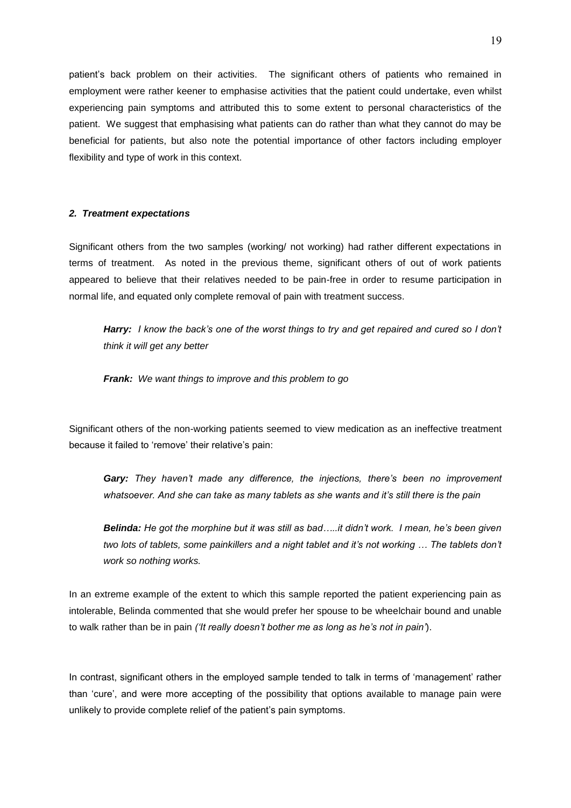patient's back problem on their activities. The significant others of patients who remained in employment were rather keener to emphasise activities that the patient could undertake, even whilst experiencing pain symptoms and attributed this to some extent to personal characteristics of the patient. We suggest that emphasising what patients can do rather than what they cannot do may be beneficial for patients, but also note the potential importance of other factors including employer flexibility and type of work in this context.

## *2. Treatment expectations*

Significant others from the two samples (working/ not working) had rather different expectations in terms of treatment. As noted in the previous theme, significant others of out of work patients appeared to believe that their relatives needed to be pain-free in order to resume participation in normal life, and equated only complete removal of pain with treatment success.

*Harry: I know the back's one of the worst things to try and get repaired and cured so I don't think it will get any better*

*Frank: We want things to improve and this problem to go*

Significant others of the non-working patients seemed to view medication as an ineffective treatment because it failed to 'remove' their relative's pain:

*Gary: They haven't made any difference, the injections, there's been no improvement whatsoever. And she can take as many tablets as she wants and it's still there is the pain*

*Belinda: He got the morphine but it was still as bad…..it didn't work. I mean, he's been given two lots of tablets, some painkillers and a night tablet and it's not working … The tablets don't work so nothing works.*

In an extreme example of the extent to which this sample reported the patient experiencing pain as intolerable, Belinda commented that she would prefer her spouse to be wheelchair bound and unable to walk rather than be in pain *('It really doesn't bother me as long as he's not in pain'*).

In contrast, significant others in the employed sample tended to talk in terms of 'management' rather than 'cure', and were more accepting of the possibility that options available to manage pain were unlikely to provide complete relief of the patient's pain symptoms.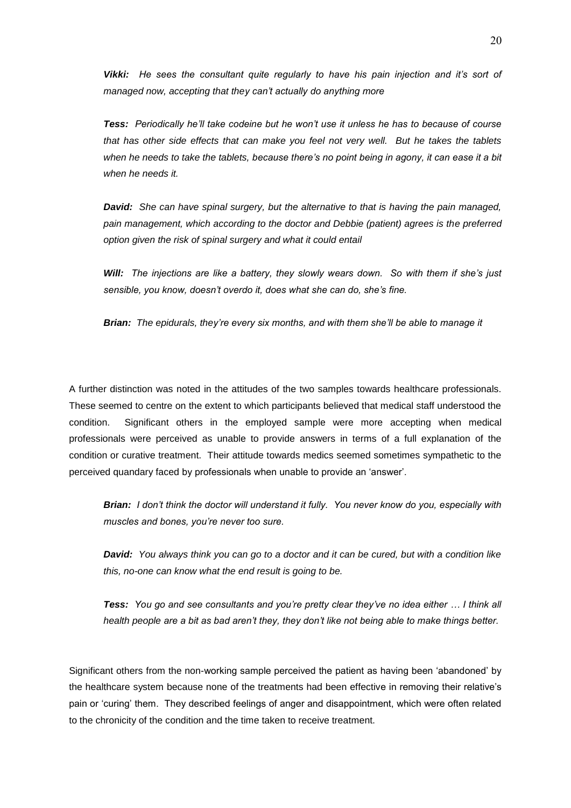*Vikki: He sees the consultant quite regularly to have his pain injection and it's sort of managed now, accepting that they can't actually do anything more*

*Tess: Periodically he'll take codeine but he won't use it unless he has to because of course that has other side effects that can make you feel not very well. But he takes the tablets when he needs to take the tablets, because there's no point being in agony, it can ease it a bit*  when he needs it.

*David: She can have spinal surgery, but the alternative to that is having the pain managed, pain management, which according to the doctor and Debbie (patient) agrees is the preferred option given the risk of spinal surgery and what it could entail*

*Will: The injections are like a battery, they slowly wears down. So with them if she's just sensible, you know, doesn't overdo it, does what she can do, she's fine.*

*Brian: The epidurals, they're every six months, and with them she'll be able to manage it*

A further distinction was noted in the attitudes of the two samples towards healthcare professionals. These seemed to centre on the extent to which participants believed that medical staff understood the condition. Significant others in the employed sample were more accepting when medical professionals were perceived as unable to provide answers in terms of a full explanation of the condition or curative treatment. Their attitude towards medics seemed sometimes sympathetic to the perceived quandary faced by professionals when unable to provide an 'answer'.

*Brian: I don't think the doctor will understand it fully. You never know do you, especially with muscles and bones, you're never too sure.*

*David: You always think you can go to a doctor and it can be cured, but with a condition like this, no-one can know what the end result is going to be.*

*Tess: You go and see consultants and you're pretty clear they've no idea either … I think all health people are a bit as bad aren't they, they don't like not being able to make things better.*

Significant others from the non-working sample perceived the patient as having been 'abandoned' by the healthcare system because none of the treatments had been effective in removing their relative's pain or 'curing' them. They described feelings of anger and disappointment, which were often related to the chronicity of the condition and the time taken to receive treatment.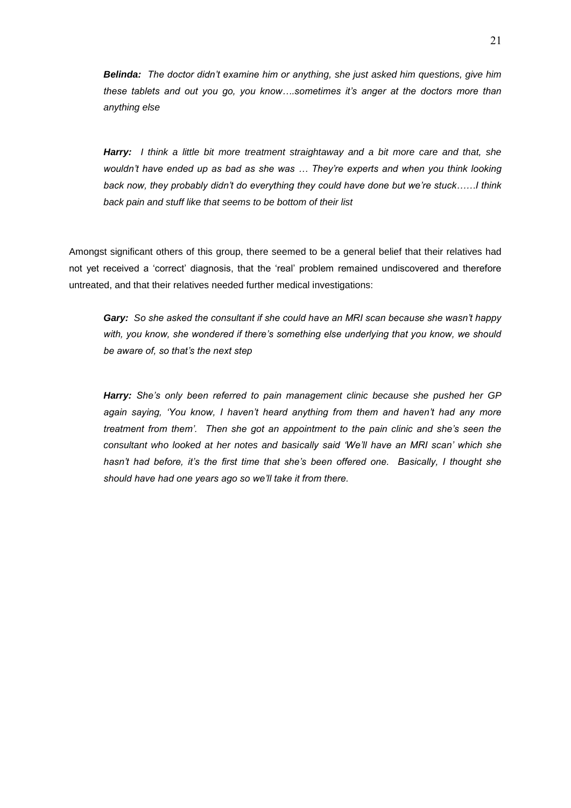*Belinda: The doctor didn't examine him or anything, she just asked him questions, give him these tablets and out you go, you know….sometimes it's anger at the doctors more than anything else*

*Harry: I think a little bit more treatment straightaway and a bit more care and that, she wouldn't have ended up as bad as she was … They're experts and when you think looking back now, they probably didn't do everything they could have done but we're stuck……I think back pain and stuff like that seems to be bottom of their list*

Amongst significant others of this group, there seemed to be a general belief that their relatives had not yet received a 'correct' diagnosis, that the 'real' problem remained undiscovered and therefore untreated, and that their relatives needed further medical investigations:

*Gary: So she asked the consultant if she could have an MRI scan because she wasn't happy with, you know, she wondered if there's something else underlying that you know, we should be aware of, so that's the next step*

*Harry: She's only been referred to pain management clinic because she pushed her GP again saying, 'You know, I haven't heard anything from them and haven't had any more treatment from them'. Then she got an appointment to the pain clinic and she's seen the consultant who looked at her notes and basically said 'We'll have an MRI scan' which she hasn't had before, it's the first time that she's been offered one. Basically, I thought she should have had one years ago so we'll take it from there.*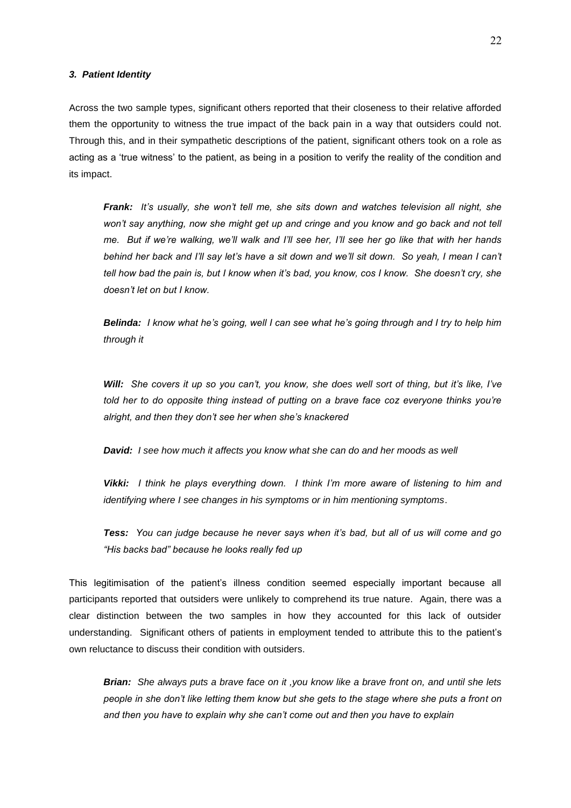#### *3. Patient Identity*

Across the two sample types, significant others reported that their closeness to their relative afforded them the opportunity to witness the true impact of the back pain in a way that outsiders could not. Through this, and in their sympathetic descriptions of the patient, significant others took on a role as acting as a 'true witness' to the patient, as being in a position to verify the reality of the condition and its impact.

*Frank: It's usually, she won't tell me, she sits down and watches television all night, she won't say anything, now she might get up and cringe and you know and go back and not tell me. But if we're walking, we'll walk and I'll see her, I'll see her go like that with her hands behind her back and I'll say let's have a sit down and we'll sit down. So yeah, I mean I can't tell how bad the pain is, but I know when it's bad, you know, cos I know. She doesn't cry, she doesn't let on but I know.* 

*Belinda: I know what he's going, well I can see what he's going through and I try to help him through it*

*Will: She covers it up so you can't, you know, she does well sort of thing, but it's like, I've told her to do opposite thing instead of putting on a brave face coz everyone thinks you're alright, and then they don't see her when she's knackered* 

*David: I see how much it affects you know what she can do and her moods as well*

*Vikki: I think he plays everything down. I think I'm more aware of listening to him and identifying where I see changes in his symptoms or in him mentioning symptoms*.

*Tess: You can judge because he never says when it's bad, but all of us will come and go "His backs bad" because he looks really fed up*

This legitimisation of the patient's illness condition seemed especially important because all participants reported that outsiders were unlikely to comprehend its true nature. Again, there was a clear distinction between the two samples in how they accounted for this lack of outsider understanding. Significant others of patients in employment tended to attribute this to the patient's own reluctance to discuss their condition with outsiders.

*Brian: She always puts a brave face on it ,you know like a brave front on, and until she lets people in she don't like letting them know but she gets to the stage where she puts a front on and then you have to explain why she can't come out and then you have to explain*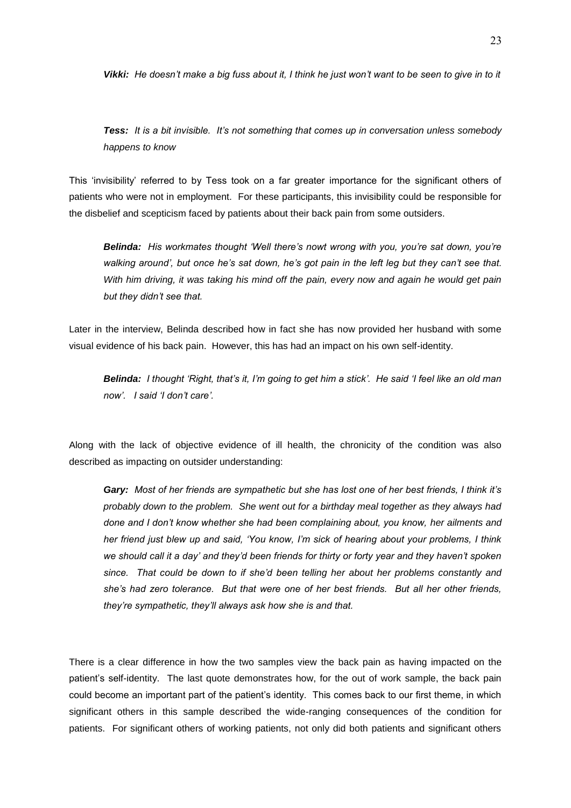*Vikki: He doesn't make a big fuss about it, I think he just won't want to be seen to give in to it*

*Tess: It is a bit invisible. It's not something that comes up in conversation unless somebody happens to know*

This 'invisibility' referred to by Tess took on a far greater importance for the significant others of patients who were not in employment. For these participants, this invisibility could be responsible for the disbelief and scepticism faced by patients about their back pain from some outsiders.

*Belinda: His workmates thought 'Well there's nowt wrong with you, you're sat down, you're walking around', but once he's sat down, he's got pain in the left leg but they can't see that. With him driving, it was taking his mind off the pain, every now and again he would get pain but they didn't see that.* 

Later in the interview, Belinda described how in fact she has now provided her husband with some visual evidence of his back pain. However, this has had an impact on his own self-identity.

*Belinda: I thought 'Right, that's it, I'm going to get him a stick'. He said 'I feel like an old man now'. I said 'I don't care'.*

Along with the lack of objective evidence of ill health, the chronicity of the condition was also described as impacting on outsider understanding:

*Gary: Most of her friends are sympathetic but she has lost one of her best friends, I think it's probably down to the problem. She went out for a birthday meal together as they always had done and I don't know whether she had been complaining about, you know, her ailments and her friend just blew up and said, 'You know, I'm sick of hearing about your problems, I think we should call it a day' and they'd been friends for thirty or forty year and they haven't spoken since. That could be down to if she'd been telling her about her problems constantly and she's had zero tolerance. But that were one of her best friends. But all her other friends, they're sympathetic, they'll always ask how she is and that.*

There is a clear difference in how the two samples view the back pain as having impacted on the patient's self-identity. The last quote demonstrates how, for the out of work sample, the back pain could become an important part of the patient's identity. This comes back to our first theme, in which significant others in this sample described the wide-ranging consequences of the condition for patients. For significant others of working patients, not only did both patients and significant others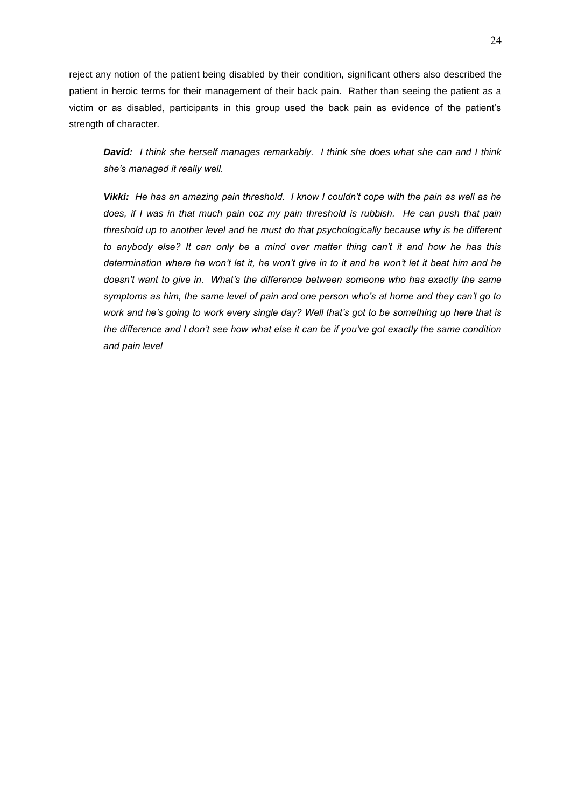reject any notion of the patient being disabled by their condition, significant others also described the patient in heroic terms for their management of their back pain. Rather than seeing the patient as a victim or as disabled, participants in this group used the back pain as evidence of the patient's strength of character.

*David: I think she herself manages remarkably. I think she does what she can and I think she's managed it really well.*

*Vikki: He has an amazing pain threshold. I know I couldn't cope with the pain as well as he does, if I was in that much pain coz my pain threshold is rubbish. He can push that pain threshold up to another level and he must do that psychologically because why is he different to anybody else? It can only be a mind over matter thing can't it and how he has this determination where he won't let it, he won't give in to it and he won't let it beat him and he doesn't want to give in. What's the difference between someone who has exactly the same symptoms as him, the same level of pain and one person who's at home and they can't go to work and he's going to work every single day? Well that's got to be something up here that is the difference and I don't see how what else it can be if you've got exactly the same condition and pain level*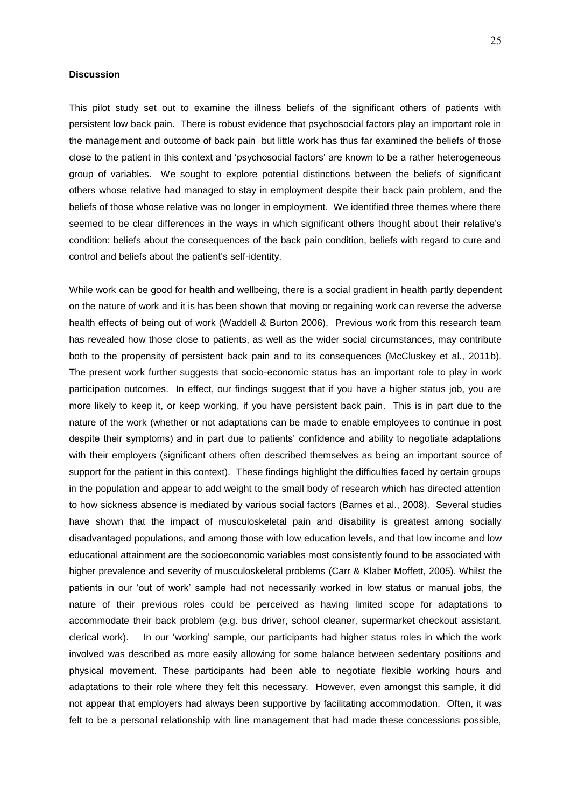## **Discussion**

This pilot study set out to examine the illness beliefs of the significant others of patients with persistent low back pain. There is robust evidence that psychosocial factors play an important role in the management and outcome of back pain but little work has thus far examined the beliefs of those close to the patient in this context and 'psychosocial factors' are known to be a rather heterogeneous group of variables. We sought to explore potential distinctions between the beliefs of significant others whose relative had managed to stay in employment despite their back pain problem, and the beliefs of those whose relative was no longer in employment. We identified three themes where there seemed to be clear differences in the ways in which significant others thought about their relative's condition: beliefs about the consequences of the back pain condition, beliefs with regard to cure and control and beliefs about the patient's self-identity.

While work can be good for health and wellbeing, there is a social gradient in health partly dependent on the nature of work and it is has been shown that moving or regaining work can reverse the adverse health effects of being out of work (Waddell & Burton 2006), Previous work from this research team has revealed how those close to patients, as well as the wider social circumstances, may contribute both to the propensity of persistent back pain and to its consequences (McCluskey et al., 2011b). The present work further suggests that socio-economic status has an important role to play in work participation outcomes. In effect, our findings suggest that if you have a higher status job, you are more likely to keep it, or keep working, if you have persistent back pain. This is in part due to the nature of the work (whether or not adaptations can be made to enable employees to continue in post despite their symptoms) and in part due to patients' confidence and ability to negotiate adaptations with their employers (significant others often described themselves as being an important source of support for the patient in this context). These findings highlight the difficulties faced by certain groups in the population and appear to add weight to the small body of research which has directed attention to how sickness absence is mediated by various social factors (Barnes et al., 2008). Several studies have shown that the impact of musculoskeletal pain and disability is greatest among socially disadvantaged populations, and among those with low education levels, and that low income and low educational attainment are the socioeconomic variables most consistently found to be associated with higher prevalence and severity of musculoskeletal problems (Carr & Klaber Moffett, 2005). Whilst the patients in our 'out of work' sample had not necessarily worked in low status or manual jobs, the nature of their previous roles could be perceived as having limited scope for adaptations to accommodate their back problem (e.g. bus driver, school cleaner, supermarket checkout assistant, clerical work). In our 'working' sample, our participants had higher status roles in which the work involved was described as more easily allowing for some balance between sedentary positions and physical movement. These participants had been able to negotiate flexible working hours and adaptations to their role where they felt this necessary. However, even amongst this sample, it did not appear that employers had always been supportive by facilitating accommodation. Often, it was felt to be a personal relationship with line management that had made these concessions possible,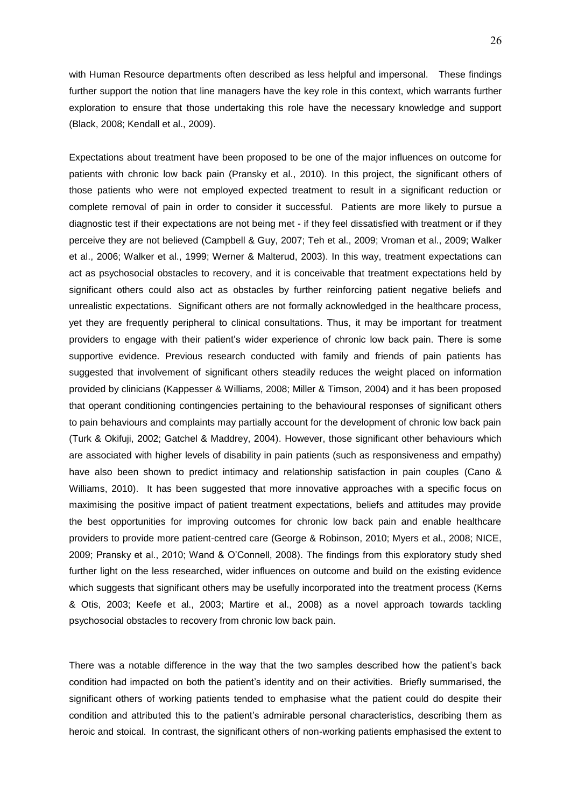with Human Resource departments often described as less helpful and impersonal. These findings further support the notion that line managers have the key role in this context, which warrants further exploration to ensure that those undertaking this role have the necessary knowledge and support (Black, 2008; Kendall et al., 2009).

Expectations about treatment have been proposed to be one of the major influences on outcome for patients with chronic low back pain (Pransky et al., 2010). In this project, the significant others of those patients who were not employed expected treatment to result in a significant reduction or complete removal of pain in order to consider it successful. Patients are more likely to pursue a diagnostic test if their expectations are not being met - if they feel dissatisfied with treatment or if they perceive they are not believed (Campbell & Guy, 2007; Teh et al., 2009; Vroman et al., 2009; Walker et al., 2006; Walker et al., 1999; Werner & Malterud, 2003). In this way, treatment expectations can act as psychosocial obstacles to recovery, and it is conceivable that treatment expectations held by significant others could also act as obstacles by further reinforcing patient negative beliefs and unrealistic expectations. Significant others are not formally acknowledged in the healthcare process, yet they are frequently peripheral to clinical consultations. Thus, it may be important for treatment providers to engage with their patient's wider experience of chronic low back pain. There is some supportive evidence. Previous research conducted with family and friends of pain patients has suggested that involvement of significant others steadily reduces the weight placed on information provided by clinicians (Kappesser & Williams, 2008; Miller & Timson, 2004) and it has been proposed that operant conditioning contingencies pertaining to the behavioural responses of significant others to pain behaviours and complaints may partially account for the development of chronic low back pain (Turk & Okifuji, 2002; Gatchel & Maddrey, 2004). However, those significant other behaviours which are associated with higher levels of disability in pain patients (such as responsiveness and empathy) have also been shown to predict intimacy and relationship satisfaction in pain couples (Cano & Williams, 2010). It has been suggested that more innovative approaches with a specific focus on maximising the positive impact of patient treatment expectations, beliefs and attitudes may provide the best opportunities for improving outcomes for chronic low back pain and enable healthcare providers to provide more patient-centred care (George & Robinson, 2010; Myers et al., 2008; NICE, 2009; Pransky et al., 2010; Wand & O'Connell, 2008). The findings from this exploratory study shed further light on the less researched, wider influences on outcome and build on the existing evidence which suggests that significant others may be usefully incorporated into the treatment process (Kerns & Otis, 2003; Keefe et al., 2003; Martire et al., 2008) as a novel approach towards tackling psychosocial obstacles to recovery from chronic low back pain.

There was a notable difference in the way that the two samples described how the patient's back condition had impacted on both the patient's identity and on their activities. Briefly summarised, the significant others of working patients tended to emphasise what the patient could do despite their condition and attributed this to the patient's admirable personal characteristics, describing them as heroic and stoical. In contrast, the significant others of non-working patients emphasised the extent to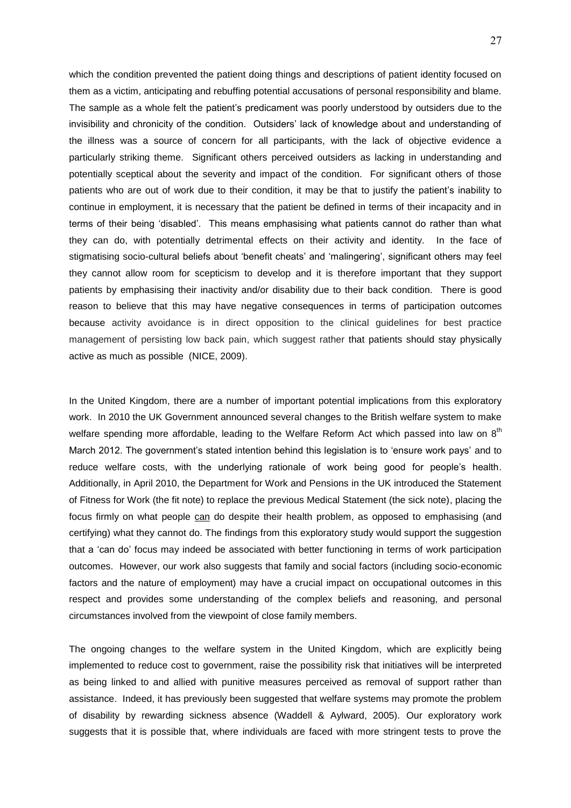which the condition prevented the patient doing things and descriptions of patient identity focused on them as a victim, anticipating and rebuffing potential accusations of personal responsibility and blame. The sample as a whole felt the patient's predicament was poorly understood by outsiders due to the invisibility and chronicity of the condition. Outsiders' lack of knowledge about and understanding of the illness was a source of concern for all participants, with the lack of objective evidence a particularly striking theme. Significant others perceived outsiders as lacking in understanding and potentially sceptical about the severity and impact of the condition. For significant others of those patients who are out of work due to their condition, it may be that to justify the patient's inability to continue in employment, it is necessary that the patient be defined in terms of their incapacity and in terms of their being 'disabled'. This means emphasising what patients cannot do rather than what they can do, with potentially detrimental effects on their activity and identity. In the face of stigmatising socio-cultural beliefs about 'benefit cheats' and 'malingering', significant others may feel they cannot allow room for scepticism to develop and it is therefore important that they support patients by emphasising their inactivity and/or disability due to their back condition. There is good reason to believe that this may have negative consequences in terms of participation outcomes because activity avoidance is in direct opposition to the clinical guidelines for best practice management of persisting low back pain, which suggest rather that patients should stay physically active as much as possible (NICE, 2009).

In the United Kingdom, there are a number of important potential implications from this exploratory work. In 2010 the UK Government announced several changes to the British welfare system to make welfare spending more affordable, leading to the Welfare Reform Act which passed into law on  $8<sup>th</sup>$ March 2012. The government's stated intention behind this legislation is to 'ensure work pays' and to reduce welfare costs, with the underlying rationale of work being good for people's health. Additionally, in April 2010, the Department for Work and Pensions in the UK introduced the Statement of Fitness for Work (the fit note) to replace the previous Medical Statement (the sick note), placing the focus firmly on what people can do despite their health problem, as opposed to emphasising (and certifying) what they cannot do. The findings from this exploratory study would support the suggestion that a 'can do' focus may indeed be associated with better functioning in terms of work participation outcomes. However, our work also suggests that family and social factors (including socio-economic factors and the nature of employment) may have a crucial impact on occupational outcomes in this respect and provides some understanding of the complex beliefs and reasoning, and personal circumstances involved from the viewpoint of close family members.

The ongoing changes to the welfare system in the United Kingdom, which are explicitly being implemented to reduce cost to government, raise the possibility risk that initiatives will be interpreted as being linked to and allied with punitive measures perceived as removal of support rather than assistance. Indeed, it has previously been suggested that welfare systems may promote the problem of disability by rewarding sickness absence (Waddell & Aylward, 2005). Our exploratory work suggests that it is possible that, where individuals are faced with more stringent tests to prove the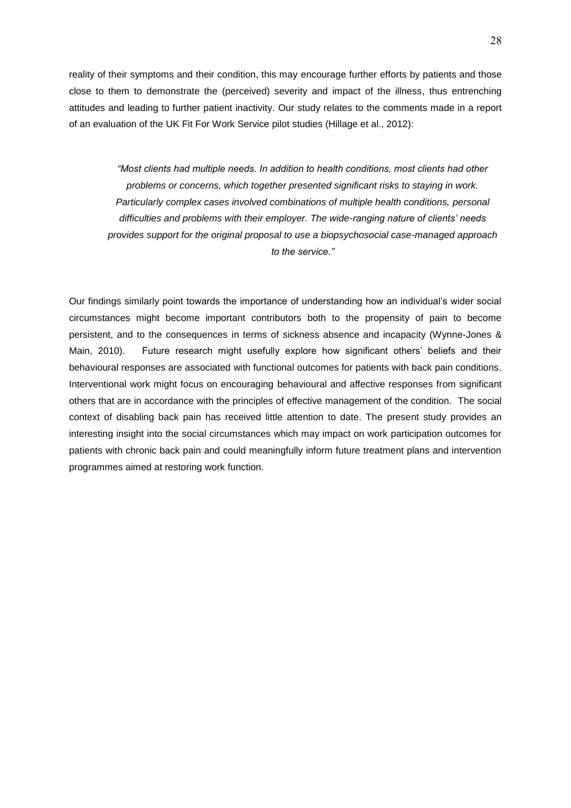reality of their symptoms and their condition, this may encourage further efforts by patients and those close to them to demonstrate the (perceived) severity and impact of the illness, thus entrenching attitudes and leading to further patient inactivity. Our study relates to the comments made in a report of an evaluation of the UK Fit For Work Service pilot studies (Hillage et al., 2012):

*"Most clients had multiple needs. In addition to health conditions, most clients had other problems or concerns, which together presented significant risks to staying in work. Particularly complex cases involved combinations of multiple health conditions, personal difficulties and problems with their employer. The wide-ranging nature of clients' needs provides support for the original proposal to use a biopsychosocial case-managed approach to the service."*

Our findings similarly point towards the importance of understanding how an individual's wider social circumstances might become important contributors both to the propensity of pain to become persistent, and to the consequences in terms of sickness absence and incapacity (Wynne-Jones & Main, 2010). Future research might usefully explore how significant others' beliefs and their behavioural responses are associated with functional outcomes for patients with back pain conditions. Interventional work might focus on encouraging behavioural and affective responses from significant others that are in accordance with the principles of effective management of the condition. The social context of disabling back pain has received little attention to date. The present study provides an interesting insight into the social circumstances which may impact on work participation outcomes for patients with chronic back pain and could meaningfully inform future treatment plans and intervention programmes aimed at restoring work function.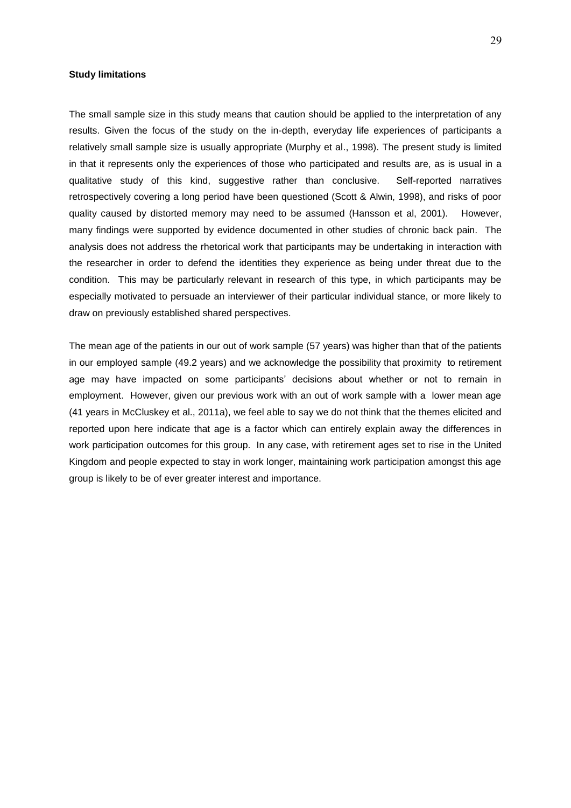## **Study limitations**

The small sample size in this study means that caution should be applied to the interpretation of any results. Given the focus of the study on the in-depth, everyday life experiences of participants a relatively small sample size is usually appropriate (Murphy et al., 1998). The present study is limited in that it represents only the experiences of those who participated and results are, as is usual in a qualitative study of this kind, suggestive rather than conclusive. Self-reported narratives retrospectively covering a long period have been questioned (Scott & Alwin, 1998), and risks of poor quality caused by distorted memory may need to be assumed (Hansson et al, 2001). However, many findings were supported by evidence documented in other studies of chronic back pain. The analysis does not address the rhetorical work that participants may be undertaking in interaction with the researcher in order to defend the identities they experience as being under threat due to the condition. This may be particularly relevant in research of this type, in which participants may be especially motivated to persuade an interviewer of their particular individual stance, or more likely to draw on previously established shared perspectives.

The mean age of the patients in our out of work sample (57 years) was higher than that of the patients in our employed sample (49.2 years) and we acknowledge the possibility that proximity to retirement age may have impacted on some participants' decisions about whether or not to remain in employment. However, given our previous work with an out of work sample with a lower mean age (41 years in McCluskey et al., 2011a), we feel able to say we do not think that the themes elicited and reported upon here indicate that age is a factor which can entirely explain away the differences in work participation outcomes for this group. In any case, with retirement ages set to rise in the United Kingdom and people expected to stay in work longer, maintaining work participation amongst this age group is likely to be of ever greater interest and importance.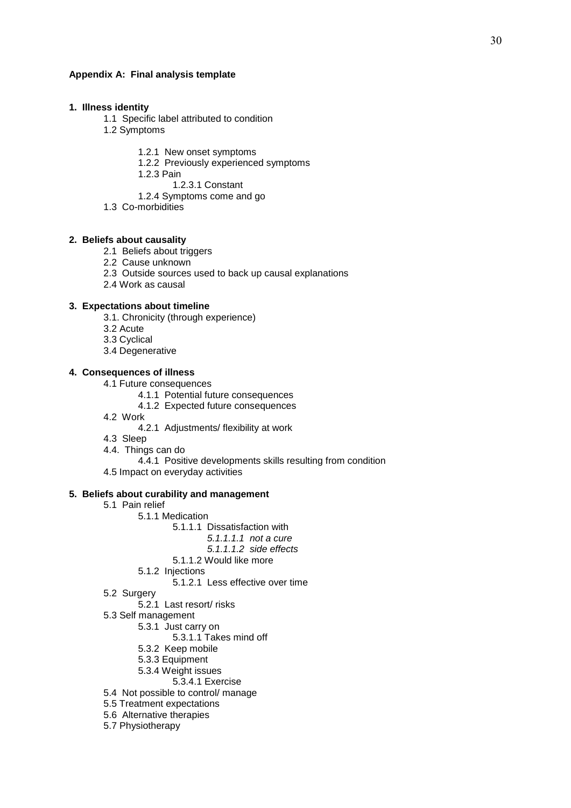## **Appendix A: Final analysis template**

## **1. Illness identity**

- 1.1 Specific label attributed to condition
- 1.2 Symptoms
	- 1.2.1 New onset symptoms
	- 1.2.2 Previously experienced symptoms
	- 1.2.3 Pain
		- 1.2.3.1 Constant
	- 1.2.4 Symptoms come and go
- 1.3 Co-morbidities

## **2. Beliefs about causality**

- 2.1 Beliefs about triggers
- 2.2 Cause unknown
- 2.3 Outside sources used to back up causal explanations
- 2.4 Work as causal

#### **3. Expectations about timeline**

- 3.1. Chronicity (through experience)
- 3.2 Acute
- 3.3 Cyclical
- 3.4 Degenerative

## **4. Consequences of illness**

- 4.1 Future consequences
	- 4.1.1 Potential future consequences
	- 4.1.2 Expected future consequences
- 4.2 Work
	- 4.2.1 Adjustments/ flexibility at work
- 4.3 Sleep
- 4.4. Things can do
	- 4.4.1 Positive developments skills resulting from condition
- 4.5 Impact on everyday activities

### **5. Beliefs about curability and management**

- 5.1 Pain relief
	- 5.1.1 Medication
		- 5.1.1.1 Dissatisfaction with
			- *5.1.1.1.1 not a cure*
				- *5.1.1.1.2 side effects*
		- 5.1.1.2 Would like more
	- 5.1.2 Injections
		- 5.1.2.1 Less effective over time
- 5.2 Surgery
- 5.2.1 Last resort/ risks
- 5.3 Self management
	- 5.3.1 Just carry on
		- 5.3.1.1 Takes mind off
	- 5.3.2 Keep mobile
	- 5.3.3 Equipment
	- 5.3.4 Weight issues
		- 5.3.4.1 Exercise
- 5.4 Not possible to control/ manage
- 5.5 Treatment expectations
- 5.6 Alternative therapies
- 5.7 Physiotherapy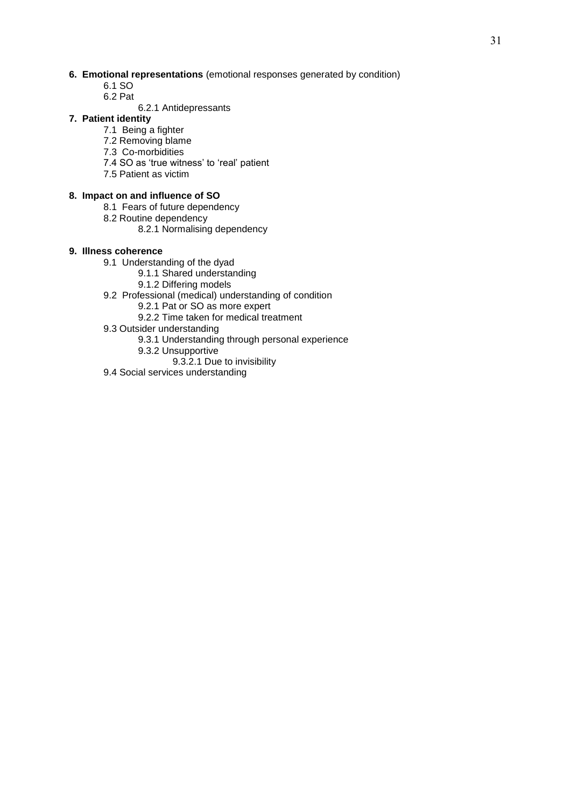## **6. Emotional representations** (emotional responses generated by condition)

- 6.1 SO
- 6.2 Pat
	- 6.2.1 Antidepressants

## **7. Patient identity**

- 7.1 Being a fighter
- 7.2 Removing blame
- 7.3 Co-morbidities
- 7.4 SO as 'true witness' to 'real' patient
- 7.5 Patient as victim

## **8. Impact on and influence of SO**

- 8.1 Fears of future dependency
- 8.2 Routine dependency
	- 8.2.1 Normalising dependency

## **9. Illness coherence**

- 9.1 Understanding of the dyad
	- 9.1.1 Shared understanding
	- 9.1.2 Differing models
- 9.2 Professional (medical) understanding of condition
	- 9.2.1 Pat or SO as more expert
	- 9.2.2 Time taken for medical treatment
- 9.3 Outsider understanding
	- 9.3.1 Understanding through personal experience
	- 9.3.2 Unsupportive
		- 9.3.2.1 Due to invisibility
- 9.4 Social services understanding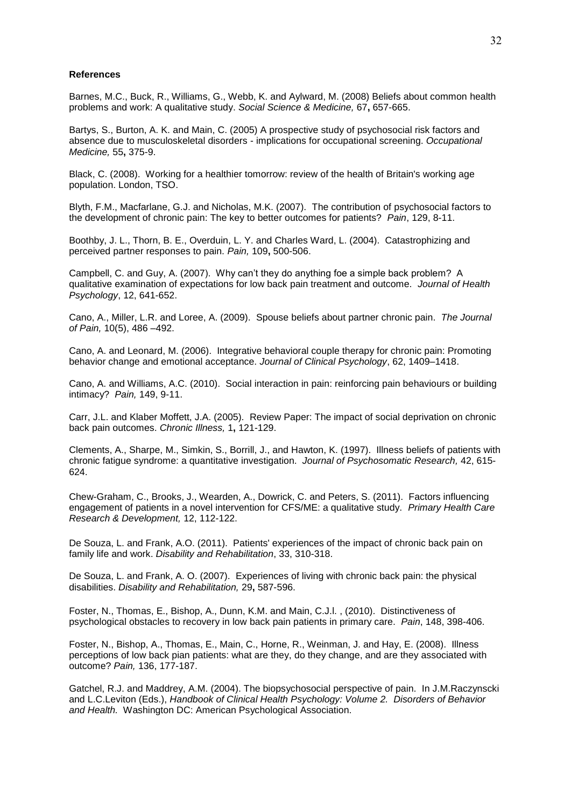#### **References**

Barnes, M.C., Buck, R., Williams, G., Webb, K. and Aylward, M. (2008) Beliefs about common health problems and work: A qualitative study. *Social Science & Medicine,* 67**,** 657-665.

Bartys, S., Burton, A. K. and Main, C. (2005) A prospective study of psychosocial risk factors and absence due to musculoskeletal disorders - implications for occupational screening. *Occupational Medicine,* 55**,** 375-9.

Black, C. (2008). Working for a healthier tomorrow: review of the health of Britain's working age population. London, TSO.

Blyth, F.M., Macfarlane, G.J. and Nicholas, M.K. (2007). The contribution of psychosocial factors to the development of chronic pain: The key to better outcomes for patients? *Pain*, 129, 8-11.

Boothby, J. L., Thorn, B. E., Overduin, L. Y. and Charles Ward, L. (2004). Catastrophizing and perceived partner responses to pain. *Pain,* 109**,** 500-506.

Campbell, C. and Guy, A. (2007). Why can't they do anything foe a simple back problem? A qualitative examination of expectations for low back pain treatment and outcome. *Journal of Health Psychology*, 12, 641-652.

Cano, A., Miller, L.R. and Loree, A. (2009). Spouse beliefs about partner chronic pain. *The Journal of Pain,* 10(5), 486 –492.

Cano, A. and Leonard, M. (2006). Integrative behavioral couple therapy for chronic pain: Promoting behavior change and emotional acceptance. *Journal of Clinical Psychology*, 62, 1409–1418.

Cano, A. and Williams, A.C. (2010). Social interaction in pain: reinforcing pain behaviours or building intimacy? *Pain,* 149, 9-11.

Carr, J.L. and Klaber Moffett, J.A. (2005). Review Paper: The impact of social deprivation on chronic back pain outcomes. *Chronic Illness,* 1**,** 121-129.

Clements, A., Sharpe, M., Simkin, S., Borrill, J., and Hawton, K. (1997). Illness beliefs of patients with chronic fatigue syndrome: a quantitative investigation. *Journal of Psychosomatic Research,* 42, 615- 624.

Chew-Graham, C., Brooks, J., Wearden, A., Dowrick, C. and Peters, S. (2011). Factors influencing engagement of patients in a novel intervention for CFS/ME: a qualitative study. *Primary Health Care Research & Development,* 12, 112-122.

De Souza, L. and Frank, A.O. (2011). Patients' experiences of the impact of chronic back pain on family life and work. *Disability and Rehabilitation*, 33, 310-318.

De Souza, L. and Frank, A. O. (2007). Experiences of living with chronic back pain: the physical disabilities. *Disability and Rehabilitation,* 29**,** 587-596.

Foster, N., Thomas, E., Bishop, A., Dunn, K.M. and Main, C.J.l. , (2010). Distinctiveness of psychological obstacles to recovery in low back pain patients in primary care. *Pain*, 148, 398-406.

Foster, N., Bishop, A., Thomas, E., Main, C., Horne, R., Weinman, J. and Hay, E. (2008). Illness perceptions of low back pian patients: what are they, do they change, and are they associated with outcome? *Pain,* 136, 177-187.

Gatchel, R.J. and Maddrey, A.M. (2004). The biopsychosocial perspective of pain. In J.M.Raczynscki and L.C.Leviton (Eds.), *Handbook of Clinical Health Psychology: Volume 2. Disorders of Behavior and Health.* Washington DC: American Psychological Association.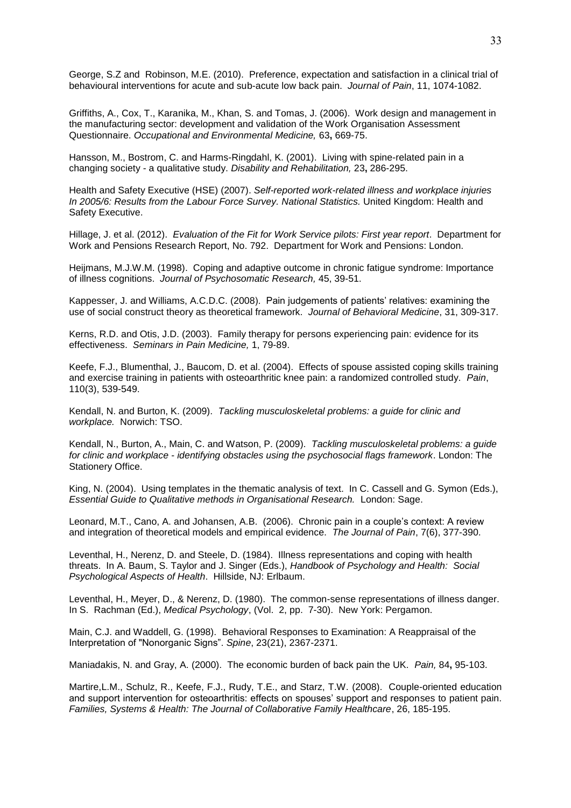George, S.Z and Robinson, M.E. (2010). Preference, expectation and satisfaction in a clinical trial of behavioural interventions for acute and sub-acute low back pain. *Journal of Pain*, 11, 1074-1082.

Griffiths, A., Cox, T., Karanika, M., Khan, S. and Tomas, J. (2006). Work design and management in the manufacturing sector: development and validation of the Work Organisation Assessment Questionnaire. *Occupational and Environmental Medicine,* 63**,** 669-75.

Hansson, M., Bostrom, C. and Harms-Ringdahl, K. (2001). Living with spine-related pain in a changing society - a qualitative study. *Disability and Rehabilitation,* 23**,** 286-295.

Health and Safety Executive (HSE) (2007). *Self-reported work-related illness and workplace injuries In 2005/6: Results from the Labour Force Survey. National Statistics.* United Kingdom: Health and Safety Executive.

Hillage, J. et al. (2012). *Evaluation of the Fit for Work Service pilots: First year report*. Department for Work and Pensions Research Report, No. 792. Department for Work and Pensions: London.

Heijmans, M.J.W.M. (1998). Coping and adaptive outcome in chronic fatigue syndrome: Importance of illness cognitions. *Journal of Psychosomatic Research,* 45, 39-51.

Kappesser, J. and Williams, A.C.D.C. (2008). Pain judgements of patients' relatives: examining the use of social construct theory as theoretical framework. *Journal of Behavioral Medicine*, 31, 309-317.

Kerns, R.D. and Otis, J.D. (2003). Family therapy for persons experiencing pain: evidence for its effectiveness. *Seminars in Pain Medicine,* 1, 79-89.

Keefe, F.J., Blumenthal, J., Baucom, D. et al. (2004). Effects of spouse assisted coping skills training and exercise training in patients with osteoarthritic knee pain: a randomized controlled study. *Pain*, 110(3), 539-549.

Kendall, N. and Burton, K. (2009). *Tackling musculoskeletal problems: a guide for clinic and workplace.* Norwich: TSO.

Kendall, N., Burton, A., Main, C. and Watson, P. (2009). *Tackling musculoskeletal problems: a guide for clinic and workplace - identifying obstacles using the psychosocial flags framework*. London: The Stationery Office.

King, N. (2004). Using templates in the thematic analysis of text. In C. Cassell and G. Symon (Eds.), *Essential Guide to Qualitative methods in Organisational Research.* London: Sage.

Leonard, M.T., Cano, A. and Johansen, A.B. (2006). Chronic pain in a couple's context: A review and integration of theoretical models and empirical evidence. *The Journal of Pain*, 7(6), 377-390.

Leventhal, H., Nerenz, D. and Steele, D. (1984). Illness representations and coping with health threats. In A. Baum, S. Taylor and J. Singer (Eds.), *Handbook of Psychology and Health: Social Psychological Aspects of Health*. Hillside, NJ: Erlbaum.

Leventhal, H., Meyer, D., & Nerenz, D. (1980). The common-sense representations of illness danger. In S. Rachman (Ed.), *Medical Psychology*, (Vol. 2, pp. 7-30). New York: Pergamon.

Main, C.J. and Waddell, G. (1998). Behavioral Responses to Examination: A Reappraisal of the Interpretation of "Nonorganic Signs". *Spine*, 23(21), 2367-2371.

Maniadakis, N. and Gray, A. (2000). The economic burden of back pain the UK. *Pain,* 84**,** 95-103.

Martire,L.M., Schulz, R., Keefe, F.J., Rudy, T.E., and Starz, T.W. (2008). Couple-oriented education and support intervention for osteoarthritis: effects on spouses' support and responses to patient pain. *Families, Systems & Health: The Journal of Collaborative Family Healthcare*, 26, 185-195.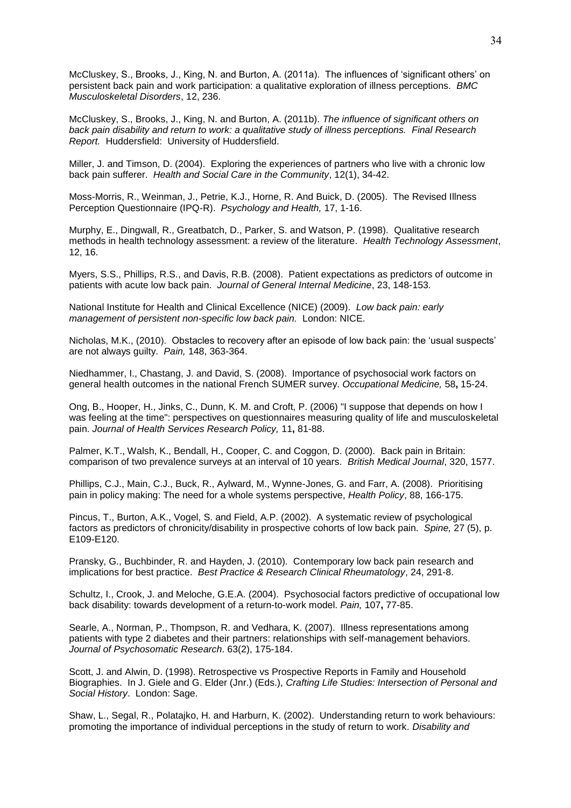McCluskey, S., Brooks, J., King, N. and Burton, A. (2011a). The influences of 'significant others' on persistent back pain and work participation: a qualitative exploration of illness perceptions. *BMC Musculoskeletal Disorders*, 12, 236.

McCluskey, S., Brooks, J., King, N. and Burton, A. (2011b). *The influence of significant others on back pain disability and return to work: a qualitative study of illness perceptions. Final Research Report.* Huddersfield: University of Huddersfield.

Miller, J. and Timson, D. (2004). Exploring the experiences of partners who live with a chronic low back pain sufferer. *Health and Social Care in the Community*, 12(1), 34-42.

Moss-Morris, R., Weinman, J., Petrie, K.J., Horne, R. And Buick, D. (2005). The Revised Illness Perception Questionnaire (IPQ-R). *Psychology and Health,* 17, 1-16.

Murphy, E., Dingwall, R., Greatbatch, D., Parker, S. and Watson, P. (1998). Qualitative research methods in health technology assessment: a review of the literature. *Health Technology Assessment*, 12, 16.

Myers, S.S., Phillips, R.S., and Davis, R.B. (2008). Patient expectations as predictors of outcome in patients with acute low back pain. *Journal of General Internal Medicine*, 23, 148-153.

National Institute for Health and Clinical Excellence (NICE) (2009). *Low back pain: early management of persistent non-specific low back pain.* London: NICE.

Nicholas, M.K., (2010). Obstacles to recovery after an episode of low back pain: the 'usual suspects' are not always guilty. *Pain,* 148, 363-364.

Niedhammer, I., Chastang, J. and David, S. (2008). Importance of psychosocial work factors on general health outcomes in the national French SUMER survey. *Occupational Medicine,* 58**,** 15-24.

Ong, B., Hooper, H., Jinks, C., Dunn, K. M. and Croft, P. (2006) "I suppose that depends on how I was feeling at the time": perspectives on questionnaires measuring quality of life and musculoskeletal pain. *Journal of Health Services Research Policy,* 11**,** 81-88.

Palmer, K.T., Walsh, K., Bendall, H., Cooper, C. and Coggon, D. (2000). Back pain in Britain: comparison of two prevalence surveys at an interval of 10 years. *British Medical Journal*, 320, 1577.

Phillips, C.J., Main, C.J., Buck, R., Aylward, M., Wynne-Jones, G. and Farr, A. (2008). Prioritising pain in policy making: The need for a whole systems perspective, *Health Policy*, 88, 166-175.

Pincus, T., Burton, A.K., Vogel, S. and Field, A.P. (2002). A systematic review of psychological factors as predictors of chronicity/disability in prospective cohorts of low back pain. *Spine,* 27 (5), p. E109-E120.

Pransky, G., Buchbinder, R. and Hayden, J. (2010). Contemporary low back pain research and implications for best practice. *Best Practice & Research Clinical Rheumatology*, 24, 291-8.

Schultz, I., Crook, J. and Meloche, G.E.A. (2004). Psychosocial factors predictive of occupational low back disability: towards development of a return-to-work model. *Pain,* 107**,** 77-85.

Searle, A., Norman, P., Thompson, R. and Vedhara, K. (2007). Illness representations among patients with type 2 diabetes and their partners: relationships with self-management behaviors. *Journal of Psychosomatic Research*. 63(2), 175-184.

Scott, J. and Alwin, D. (1998). Retrospective vs Prospective Reports in Family and Household Biographies. In J. Giele and G. Elder (Jnr.) (Eds.), *Crafting Life Studies: Intersection of Personal and Social History*. London: Sage.

Shaw, L., Segal, R., Polatajko, H. and Harburn, K. (2002). Understanding return to work behaviours: promoting the importance of individual perceptions in the study of return to work. *Disability and*